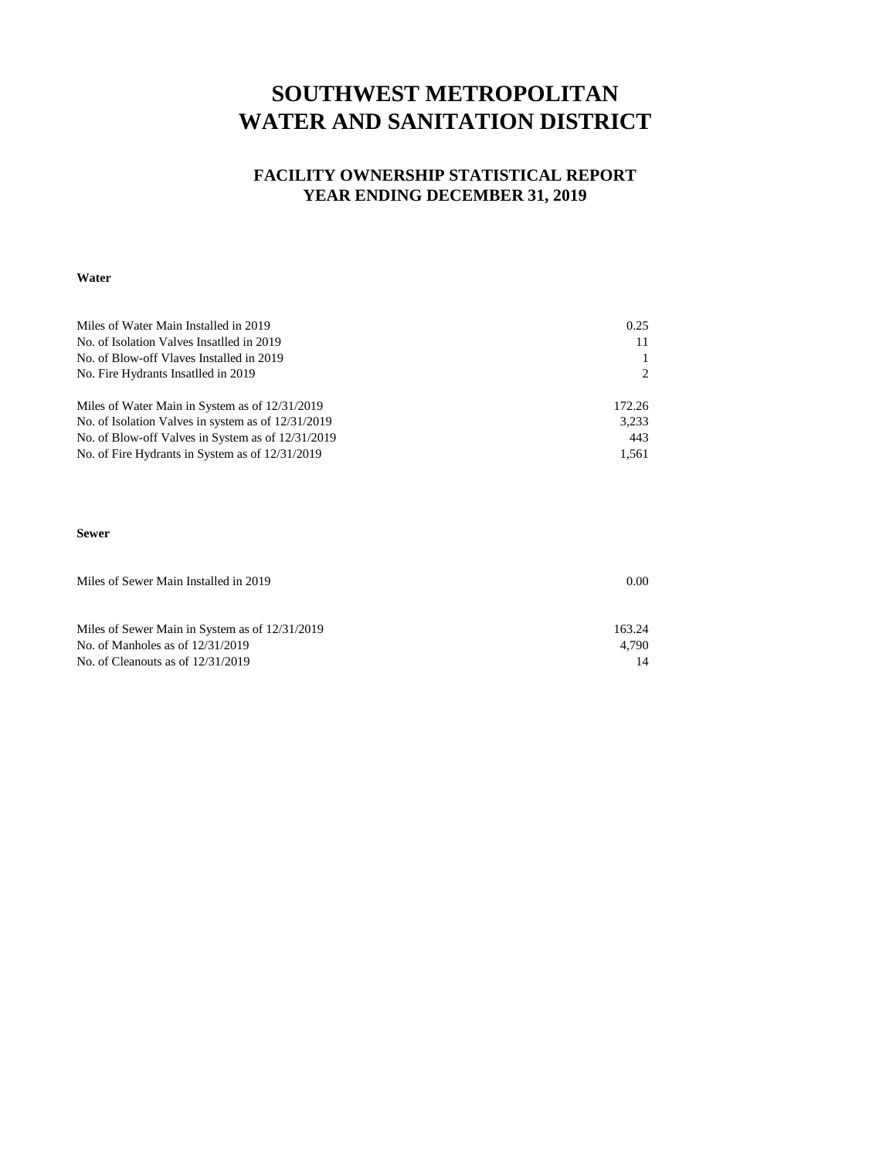### **SOUTHWEST METROPOLITAN WATER AND SANITATION DISTRICT**

#### **FACILITY OWNERSHIP STATISTICAL REPORT YEAR ENDING DECEMBER 31, 2019**

#### **Water**

| Miles of Water Main Installed in 2019              | 0.25   |
|----------------------------------------------------|--------|
| No. of Isolation Valves Insatlled in 2019          |        |
| No. of Blow-off Vlaves Installed in 2019           |        |
| No. Fire Hydrants Insatlled in 2019                |        |
| Miles of Water Main in System as of 12/31/2019     | 172.26 |
| No. of Isolation Valves in system as of 12/31/2019 | 3,233  |
| No. of Blow-off Valves in System as of 12/31/2019  | 443    |
| No. of Fire Hydrants in System as of 12/31/2019    | 1.561  |

#### **Sewer**

| Miles of Sewer Main Installed in 2019          | 0.00   |  |  |  |  |  |  |
|------------------------------------------------|--------|--|--|--|--|--|--|
|                                                |        |  |  |  |  |  |  |
|                                                |        |  |  |  |  |  |  |
| Miles of Sewer Main in System as of 12/31/2019 | 163.24 |  |  |  |  |  |  |
| No. of Manholes as of $12/31/2019$             | 4.790  |  |  |  |  |  |  |
| No. of Cleanouts as of $12/31/2019$            |        |  |  |  |  |  |  |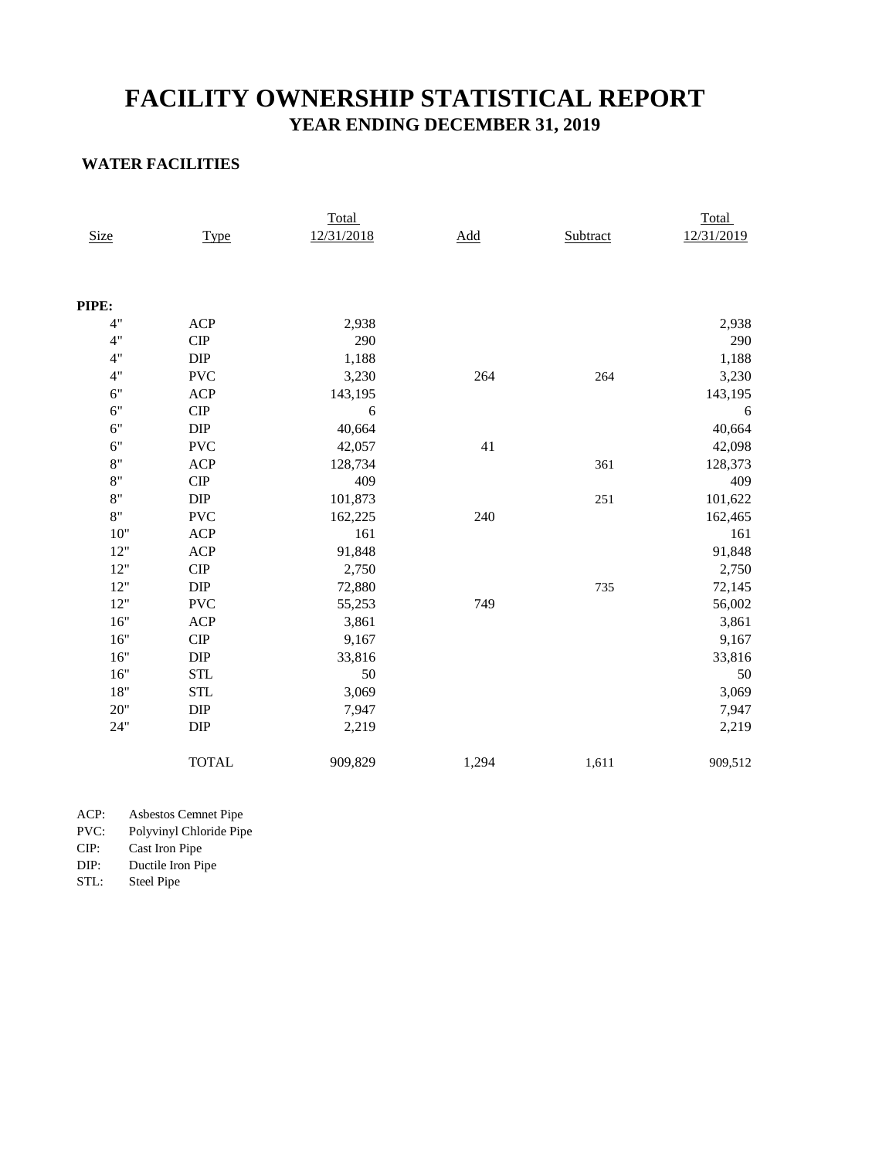### **YEAR ENDING DECEMBER 31, 2019 FACILITY OWNERSHIP STATISTICAL REPORT**

#### **WATER FACILITIES**

|             |                              | Total      |             |          | Total      |  |  |  |
|-------------|------------------------------|------------|-------------|----------|------------|--|--|--|
| <b>Size</b> | Type                         | 12/31/2018 | $\Delta dd$ | Subtract | 12/31/2019 |  |  |  |
|             |                              |            |             |          |            |  |  |  |
| PIPE:       |                              |            |             |          |            |  |  |  |
| 4"          | <b>ACP</b>                   | 2,938      |             |          | 2,938      |  |  |  |
| 4"          | ${\cal C} {\cal I} {\cal P}$ | 290        |             |          | 290        |  |  |  |
| 4"          | $\rm DIP$                    | 1,188      |             |          | 1,188      |  |  |  |
| 4"          | <b>PVC</b>                   | 3,230      | 264         | 264      | 3,230      |  |  |  |
| 6"          | <b>ACP</b>                   | 143,195    |             |          | 143,195    |  |  |  |
| 6"          | ${\cal C} {\cal I} {\cal P}$ | 6          |             |          | 6          |  |  |  |
| 6"          | DIP                          | 40,664     |             |          | 40,664     |  |  |  |
| 6"          | <b>PVC</b>                   | 42,057     | 41          |          | 42,098     |  |  |  |
| 8"          | <b>ACP</b>                   | 128,734    |             | 361      | 128,373    |  |  |  |
| 8"          | $\cal CIP$                   | 409        |             |          | 409        |  |  |  |
| 8"          | DIP                          | 101,873    |             | 251      | 101,622    |  |  |  |
| 8"          | <b>PVC</b>                   | 162,225    | 240         |          | 162,465    |  |  |  |
| 10"         | <b>ACP</b>                   | 161        |             |          | 161        |  |  |  |
| $12"$       | <b>ACP</b>                   | 91,848     |             |          | 91,848     |  |  |  |
| 12"         | ${\cal C} {\cal I} {\cal P}$ | 2,750      |             |          | 2,750      |  |  |  |
| 12"         | ${\rm DIP}$                  | 72,880     |             | 735      | 72,145     |  |  |  |
| $12"$       | <b>PVC</b>                   | 55,253     | 749         |          | 56,002     |  |  |  |
| 16"         | <b>ACP</b>                   | 3,861      |             |          | 3,861      |  |  |  |
| 16"         | $\cal CIP$                   | 9,167      |             |          | 9,167      |  |  |  |
| 16"         | DIP                          | 33,816     |             |          | 33,816     |  |  |  |
| 16"         | <b>STL</b>                   | 50         |             |          | 50         |  |  |  |
| $18"$       | <b>STL</b>                   | 3,069      |             |          | 3,069      |  |  |  |
| 20"         | DIP                          | 7,947      |             |          | 7,947      |  |  |  |
| 24"         | DIP                          | 2,219      |             |          | 2,219      |  |  |  |
|             | <b>TOTAL</b>                 | 909,829    | 1,294       | 1,611    | 909,512    |  |  |  |

ACP: Asbestos Cemnet Pipe

PVC: Polyvinyl Chloride Pipe

CIP: Cast Iron Pipe

Ductile Iron Pipe

STL: Steel Pipe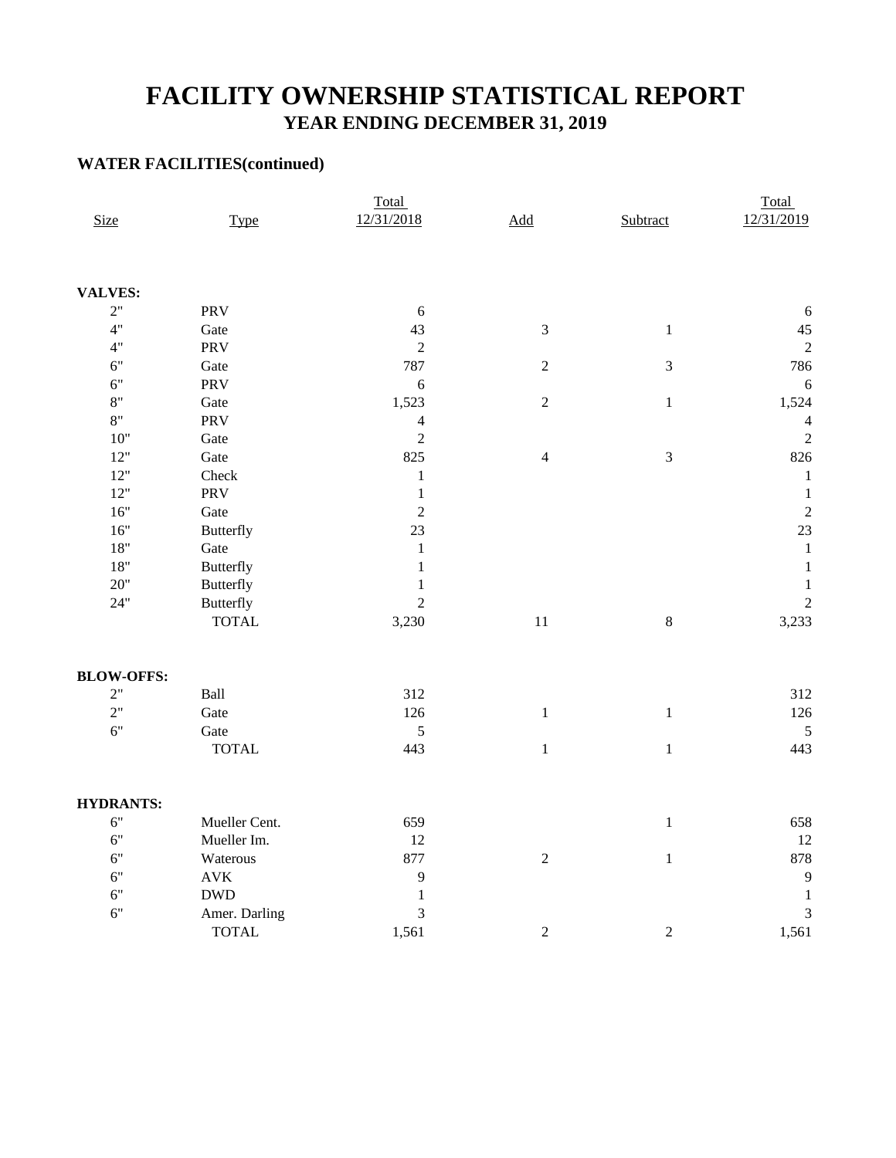### **FACILITY OWNERSHIP STATISTICAL REPORT YEAR ENDING DECEMBER 31, 2019**

#### **WATER FACILITIES(continued)**

|                   |                  | Total          |                          | Total          |                |  |  |  |
|-------------------|------------------|----------------|--------------------------|----------------|----------------|--|--|--|
| <b>Size</b>       | <b>Type</b>      | 12/31/2018     | $\underline{\text{Add}}$ | Subtract       | 12/31/2019     |  |  |  |
|                   |                  |                |                          |                |                |  |  |  |
| <b>VALVES:</b>    |                  |                |                          |                |                |  |  |  |
| 2"                | PRV              | 6              |                          |                | 6              |  |  |  |
| 4"                | Gate             | 43             | $\mathfrak{Z}$           | $\mathbf{1}$   | 45             |  |  |  |
| 4"                | PRV              | $\overline{2}$ |                          |                | $\overline{c}$ |  |  |  |
| 6"                | Gate             | 787            | $\overline{c}$           | $\sqrt{3}$     | 786            |  |  |  |
| 6"                | PRV              | 6              |                          |                | $\sqrt{6}$     |  |  |  |
| $8"$              | Gate             | 1,523          | $\sqrt{2}$               | $\,1$          | 1,524          |  |  |  |
| $8"$              | PRV              | $\overline{4}$ |                          |                | $\overline{4}$ |  |  |  |
| $10"$             | Gate             | $\sqrt{2}$     |                          |                | $\overline{2}$ |  |  |  |
| $12"$             | Gate             | 825            | $\overline{4}$           | $\mathfrak{Z}$ | 826            |  |  |  |
| $12"$             | Check            | $\,1$          |                          |                | $\mathbf 1$    |  |  |  |
| 12"               | PRV              | $\mathbf{1}$   |                          |                | $\mathbf{1}$   |  |  |  |
| $16"$             | Gate             | $\overline{2}$ |                          |                | $\overline{2}$ |  |  |  |
| $16"$             | <b>Butterfly</b> | 23             |                          |                | 23             |  |  |  |
| $18"$             | Gate             | $\mathbf 1$    |                          |                | $\,1\,$        |  |  |  |
| $18"$             | <b>Butterfly</b> | $\mathbf 1$    |                          |                | $\,1\,$        |  |  |  |
| $20"$             | <b>Butterfly</b> | $\mathbf{1}$   |                          |                | $\,1$          |  |  |  |
| $24"$             | <b>Butterfly</b> | $\overline{c}$ |                          |                | $\overline{2}$ |  |  |  |
|                   | <b>TOTAL</b>     | 3,230          | $11\,$                   | $\,8\,$        | 3,233          |  |  |  |
| <b>BLOW-OFFS:</b> |                  |                |                          |                |                |  |  |  |
| 2"                | Ball             | 312            |                          |                | 312            |  |  |  |
| 2"                | Gate             | 126            | $\,1\,$                  | $\,1\,$        | 126            |  |  |  |
| 6"                | Gate             | 5              |                          |                | 5              |  |  |  |
|                   | <b>TOTAL</b>     | 443            | $\,1\,$                  | $\mathbf{1}$   | 443            |  |  |  |
| <b>HYDRANTS:</b>  |                  |                |                          |                |                |  |  |  |
| 6"                | Mueller Cent.    | 659            |                          | $\mathbf{1}$   | 658            |  |  |  |
| 6"                | Mueller Im.      | 12             |                          |                | 12             |  |  |  |
| 6"                | Waterous         | 877            | $\sqrt{2}$               | $\mathbf{1}$   | 878            |  |  |  |
| 6"                | $\mathbf{AVK}$   | 9              |                          |                | 9              |  |  |  |
| $6"$              | <b>DWD</b>       | $\mathbf{1}$   |                          |                | $\,1\,$        |  |  |  |
| 6"                | Amer. Darling    | $\mathfrak{Z}$ |                          |                | 3              |  |  |  |
|                   | <b>TOTAL</b>     | 1,561          | $\sqrt{2}$               | $\sqrt{2}$     | 1,561          |  |  |  |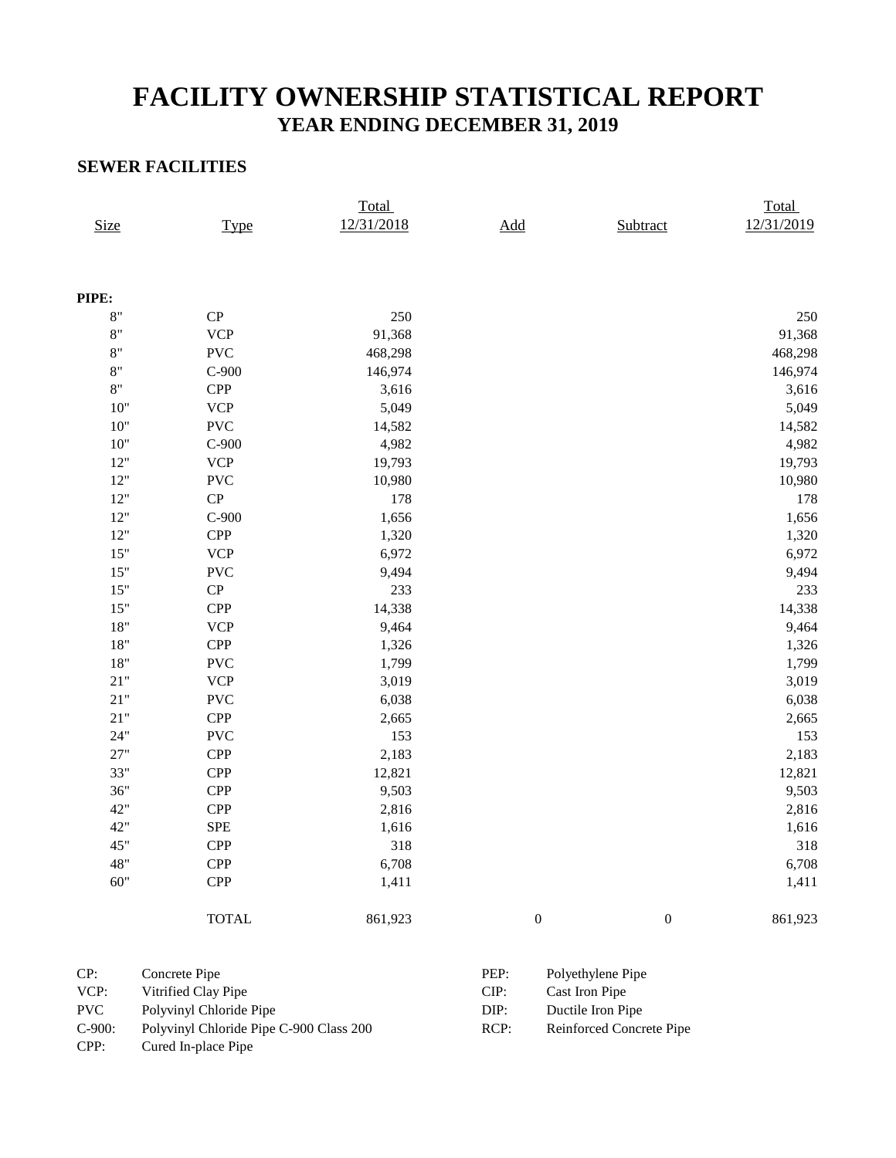# **FACILITY OWNERSHIP STATISTICAL REPORT YEAR ENDING DECEMBER 31, 2019**

#### **SEWER FACILITIES**

|             |              | Total      |                  |                  | Total      |
|-------------|--------------|------------|------------------|------------------|------------|
| <b>Size</b> | <b>Type</b>  | 12/31/2018 | Add              | Subtract         | 12/31/2019 |
|             |              |            |                  |                  |            |
| PIPE:       |              |            |                  |                  |            |
| 8"          | CP           | 250        |                  |                  | 250        |
| 8"          | <b>VCP</b>   | 91,368     |                  |                  | 91,368     |
| 8"          | <b>PVC</b>   | 468,298    |                  |                  | 468,298    |
| 8"          | $C-900$      | 146,974    |                  |                  | 146,974    |
| $8"$        | <b>CPP</b>   | 3,616      |                  |                  | 3,616      |
| 10"         | <b>VCP</b>   | 5,049      |                  |                  | 5,049      |
| 10"         | <b>PVC</b>   | 14,582     |                  |                  | 14,582     |
| 10"         | $C-900$      | 4,982      |                  |                  | 4,982      |
| 12"         | <b>VCP</b>   | 19,793     |                  |                  | 19,793     |
| 12"         | <b>PVC</b>   | 10,980     |                  |                  | 10,980     |
| $12"$       | CP           | 178        |                  |                  | 178        |
| 12"         | $C-900$      | 1,656      |                  |                  | 1,656      |
| 12"         | <b>CPP</b>   | 1,320      |                  |                  | 1,320      |
| 15"         | <b>VCP</b>   | 6,972      |                  |                  | 6,972      |
| 15"         | <b>PVC</b>   | 9,494      |                  |                  | 9,494      |
| 15"         | ${\bf CP}$   | 233        |                  |                  | 233        |
| 15"         | <b>CPP</b>   | 14,338     |                  |                  | 14,338     |
| $18"$       | <b>VCP</b>   | 9,464      |                  |                  | 9,464      |
| $18"$       | <b>CPP</b>   | 1,326      |                  |                  | 1,326      |
| $18"$       | <b>PVC</b>   | 1,799      |                  |                  | 1,799      |
| 21"         | <b>VCP</b>   | 3,019      |                  |                  | 3,019      |
| 21"         | <b>PVC</b>   | 6,038      |                  |                  | 6,038      |
| 21"         | <b>CPP</b>   | 2,665      |                  |                  | 2,665      |
| 24"         | <b>PVC</b>   | 153        |                  |                  | 153        |
| 27"         | <b>CPP</b>   | 2,183      |                  |                  | 2,183      |
| 33"         | <b>CPP</b>   | 12,821     |                  |                  | 12,821     |
| 36"         | <b>CPP</b>   | 9,503      |                  |                  | 9,503      |
| 42"         | <b>CPP</b>   | 2,816      |                  |                  | 2,816      |
| 42"         | <b>SPE</b>   | 1,616      |                  |                  | 1,616      |
| 45"         | <b>CPP</b>   | 318        |                  |                  | 318        |
| 48"         | <b>CPP</b>   | 6,708      |                  |                  | 6,708      |
| 60"         | <b>CPP</b>   | 1,411      |                  |                  | 1,411      |
|             | <b>TOTAL</b> | 861,923    | $\boldsymbol{0}$ | $\boldsymbol{0}$ | 861,923    |
|             |              |            |                  |                  |            |

| CP:        | Concrete Pipe                           | PEP: | Polyethylene Pipe        |
|------------|-----------------------------------------|------|--------------------------|
| VCP:       | Vitrified Clay Pipe                     | CIP: | Cast Iron Pipe           |
| <b>PVC</b> | Polyvinyl Chloride Pipe                 | DIP: | Ductile Iron Pipe        |
| $C-900:$   | Polyvinyl Chloride Pipe C-900 Class 200 | RCP: | Reinforced Concrete Pipe |
| CPP:       | Cured In-place Pipe                     |      |                          |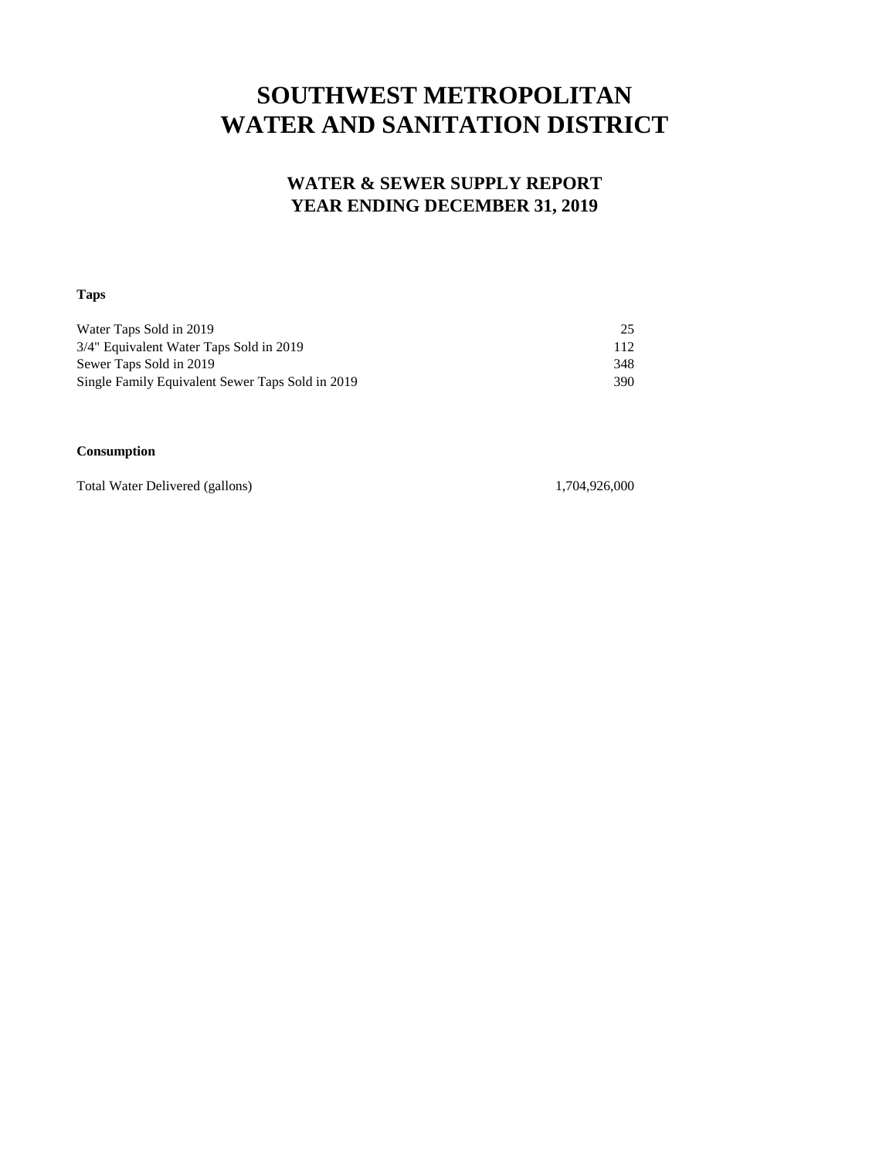# **SOUTHWEST METROPOLITAN WATER AND SANITATION DISTRICT**

#### **WATER & SEWER SUPPLY REPORT YEAR ENDING DECEMBER 31, 2019**

#### **Taps**

| Water Taps Sold in 2019                          | 25  |
|--------------------------------------------------|-----|
| 3/4" Equivalent Water Taps Sold in 2019          | 112 |
| Sewer Taps Sold in 2019                          | 348 |
| Single Family Equivalent Sewer Taps Sold in 2019 | 390 |

#### **Consumption**

Total Water Delivered (gallons) 1,704,926,000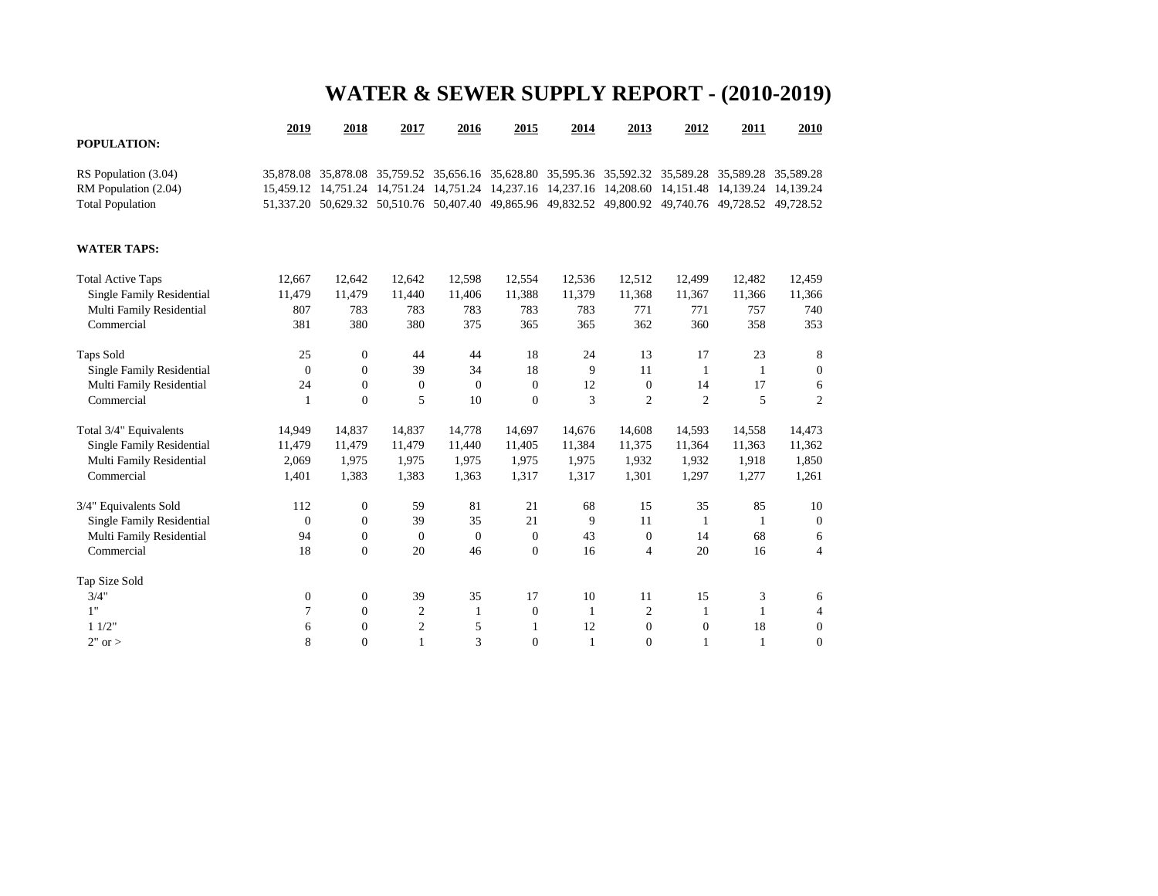# **WATER & SEWER SUPPLY REPORT - (2010-2019)**

|                                  | 2019             | 2018             | 2017             | 2016           | 2015             | 2014                                                                                                | 2013           | 2012             | 2011         | 2010             |
|----------------------------------|------------------|------------------|------------------|----------------|------------------|-----------------------------------------------------------------------------------------------------|----------------|------------------|--------------|------------------|
| POPULATION:                      |                  |                  |                  |                |                  |                                                                                                     |                |                  |              |                  |
| RS Population (3.04)             |                  |                  |                  |                |                  | 35,878.08 35,878.08 35,759.52 35,656.16 35,628.80 35,595.36 35,592.32 35,589.28 35,589.28 35,589.28 |                |                  |              |                  |
| RM Population (2.04)             |                  |                  |                  |                |                  | 15,459.12 14,751.24 14,751.24 14,751.24 14,237.16 14,237.16 14,208.60 14,151.48 14,139.24 14,139.24 |                |                  |              |                  |
| <b>Total Population</b>          |                  |                  |                  |                |                  | 51,337.20 50,629.32 50,510.76 50,407.40 49,865.96 49,832.52 49,800.92 49,740.76 49,728.52 49,728.52 |                |                  |              |                  |
| <b>WATER TAPS:</b>               |                  |                  |                  |                |                  |                                                                                                     |                |                  |              |                  |
| <b>Total Active Taps</b>         | 12,667           | 12,642           | 12,642           | 12,598         | 12,554           | 12,536                                                                                              | 12,512         | 12,499           | 12,482       | 12,459           |
| Single Family Residential        | 11,479           | 11,479           | 11,440           | 11,406         | 11,388           | 11,379                                                                                              | 11,368         | 11,367           | 11,366       | 11,366           |
| Multi Family Residential         | 807              | 783              | 783              | 783            | 783              | 783                                                                                                 | 771            | 771              | 757          | 740              |
| Commercial                       | 381              | 380              | 380              | 375            | 365              | 365                                                                                                 | 362            | 360              | 358          | 353              |
| Taps Sold                        | 25               | $\mathbf{0}$     | 44               | 44             | 18               | 24                                                                                                  | 13             | 17               | 23           | 8                |
| <b>Single Family Residential</b> | $\Omega$         | $\mathbf{0}$     | 39               | 34             | 18               | 9                                                                                                   | 11             | $\mathbf{1}$     | $\mathbf{1}$ | $\boldsymbol{0}$ |
| Multi Family Residential         | 24               | $\mathbf{0}$     | $\overline{0}$   | $\overline{0}$ | $\mathbf{0}$     | 12                                                                                                  | $\mathbf{0}$   | 14               | 17           | 6                |
| Commercial                       | 1                | $\mathbf{0}$     | 5                | 10             | $\boldsymbol{0}$ | 3                                                                                                   | $\overline{c}$ | 2                | 5            | $\mathfrak{2}$   |
| Total 3/4" Equivalents           | 14,949           | 14,837           | 14,837           | 14,778         | 14,697           | 14,676                                                                                              | 14,608         | 14,593           | 14,558       | 14,473           |
| Single Family Residential        | 11,479           | 11,479           | 11,479           | 11,440         | 11,405           | 11,384                                                                                              | 11,375         | 11,364           | 11,363       | 11,362           |
| Multi Family Residential         | 2,069            | 1,975            | 1,975            | 1,975          | 1,975            | 1,975                                                                                               | 1,932          | 1,932            | 1,918        | 1,850            |
| Commercial                       | 1,401            | 1,383            | 1,383            | 1,363          | 1,317            | 1,317                                                                                               | 1,301          | 1,297            | 1,277        | 1,261            |
| 3/4" Equivalents Sold            | 112              | $\mathbf{0}$     | 59               | 81             | 21               | 68                                                                                                  | 15             | 35               | 85           | 10               |
| Single Family Residential        | $\mathbf{0}$     | $\mathbf{0}$     | 39               | 35             | 21               | 9                                                                                                   | 11             | -1               | 1            | $\overline{0}$   |
| Multi Family Residential         | 94               | $\overline{0}$   | $\boldsymbol{0}$ | $\overline{0}$ | $\mathbf{0}$     | 43                                                                                                  | $\theta$       | 14               | 68           | 6                |
| Commercial                       | 18               | $\overline{0}$   | 20               | 46             | $\mathbf{0}$     | 16                                                                                                  | $\overline{4}$ | 20               | 16           | $\overline{4}$   |
| Tap Size Sold                    |                  |                  |                  |                |                  |                                                                                                     |                |                  |              |                  |
| 3/4"                             | $\boldsymbol{0}$ | $\boldsymbol{0}$ | 39               | 35             | 17               | 10                                                                                                  | 11             | 15               | 3            | 6                |
| 1"                               | 7                | $\boldsymbol{0}$ | $\mathfrak{2}$   | 1              | $\boldsymbol{0}$ | 1                                                                                                   | $\overline{c}$ | 1                | 1            | 4                |
| 11/2"                            | 6                | $\boldsymbol{0}$ | $\mathbf{2}$     | 5              | 1                | 12                                                                                                  | $\overline{0}$ | $\boldsymbol{0}$ | 18           | $\boldsymbol{0}$ |
| $2"$ or $>$                      | 8                | $\overline{0}$   | 1                | 3              | $\mathbf{0}$     | $\mathbf{1}$                                                                                        | $\mathbf{0}$   | $\mathbf{1}$     | $\mathbf{1}$ | $\mathbf{0}$     |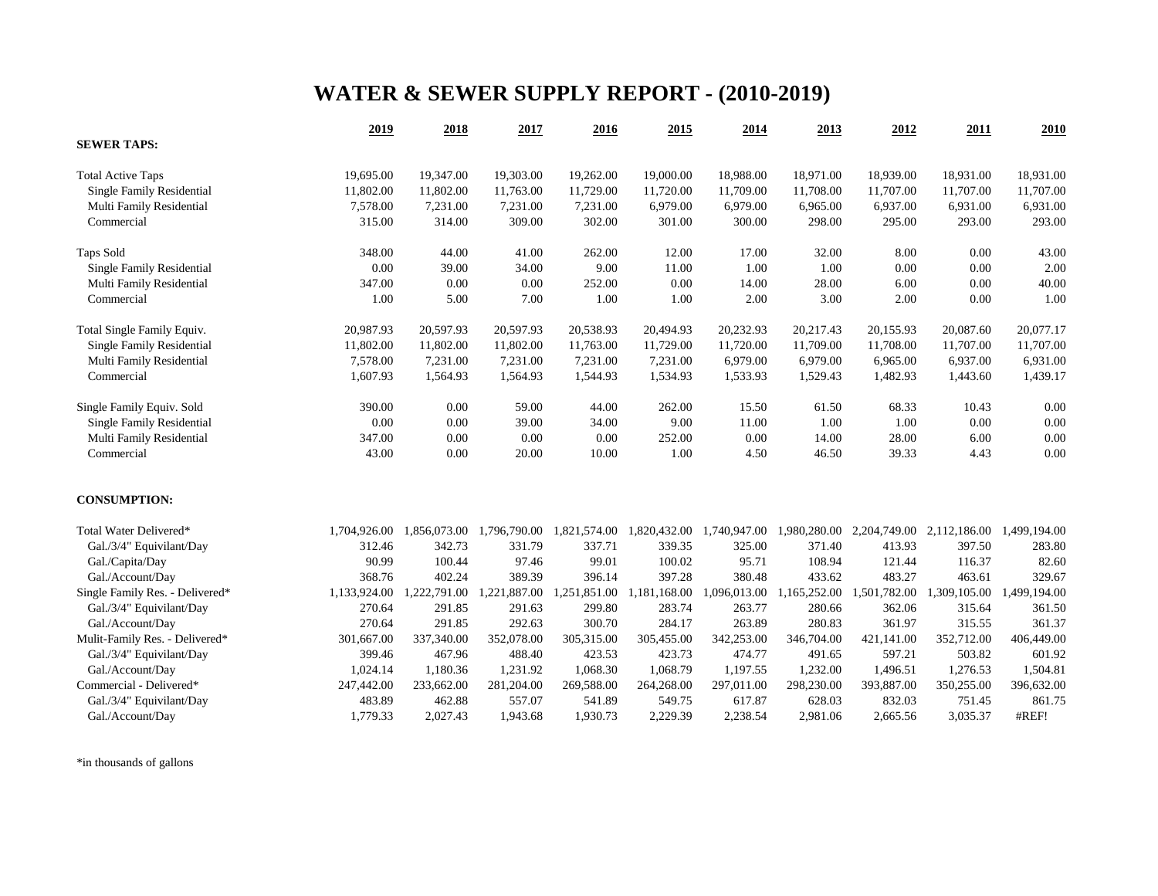# **WATER & SEWER SUPPLY REPORT - (2010-2019)**

|                                  | 2019         | 2018         | 2017         | 2016         | 2015         | 2014         | 2013         | 2012         | 2011         | 2010         |
|----------------------------------|--------------|--------------|--------------|--------------|--------------|--------------|--------------|--------------|--------------|--------------|
| <b>SEWER TAPS:</b>               |              |              |              |              |              |              |              |              |              |              |
| <b>Total Active Taps</b>         | 19,695.00    | 19,347.00    | 19,303.00    | 19,262.00    | 19,000.00    | 18,988.00    | 18,971.00    | 18,939.00    | 18,931.00    | 18,931.00    |
| Single Family Residential        | 11,802.00    | 11,802.00    | 11,763.00    | 11,729.00    | 11,720.00    | 11,709.00    | 11,708.00    | 11,707.00    | 11,707.00    | 11,707.00    |
| Multi Family Residential         | 7,578.00     | 7,231.00     | 7,231.00     | 7,231.00     | 6,979.00     | 6,979.00     | 6,965.00     | 6,937.00     | 6,931.00     | 6,931.00     |
| Commercial                       | 315.00       | 314.00       | 309.00       | 302.00       | 301.00       | 300.00       | 298.00       | 295.00       | 293.00       | 293.00       |
| <b>Taps Sold</b>                 | 348.00       | 44.00        | 41.00        | 262.00       | 12.00        | 17.00        | 32.00        | 8.00         | 0.00         | 43.00        |
| Single Family Residential        | 0.00         | 39.00        | 34.00        | 9.00         | 11.00        | 1.00         | 1.00         | 0.00         | 0.00         | 2.00         |
| Multi Family Residential         | 347.00       | 0.00         | 0.00         | 252.00       | 0.00         | 14.00        | 28.00        | 6.00         | 0.00         | 40.00        |
| Commercial                       | 1.00         | 5.00         | 7.00         | 1.00         | 1.00         | 2.00         | 3.00         | 2.00         | 0.00         | 1.00         |
| Total Single Family Equiv.       | 20,987.93    | 20,597.93    | 20,597.93    | 20,538.93    | 20,494.93    | 20,232.93    | 20,217.43    | 20,155.93    | 20,087.60    | 20,077.17    |
| <b>Single Family Residential</b> | 11,802.00    | 11,802.00    | 11,802.00    | 11,763.00    | 11,729.00    | 11,720.00    | 11,709.00    | 11,708.00    | 11,707.00    | 11,707.00    |
| Multi Family Residential         | 7,578.00     | 7,231.00     | 7,231.00     | 7,231.00     | 7,231.00     | 6,979.00     | 6,979.00     | 6,965.00     | 6,937.00     | 6,931.00     |
| Commercial                       | 1,607.93     | 1,564.93     | 1,564.93     | 1,544.93     | 1,534.93     | 1,533.93     | 1,529.43     | 1,482.93     | 1,443.60     | 1,439.17     |
| Single Family Equiv. Sold        | 390.00       | 0.00         | 59.00        | 44.00        | 262.00       | 15.50        | 61.50        | 68.33        | 10.43        | 0.00         |
| Single Family Residential        | 0.00         | 0.00         | 39.00        | 34.00        | 9.00         | 11.00        | 1.00         | 1.00         | $0.00\,$     | 0.00         |
| Multi Family Residential         | 347.00       | 0.00         | 0.00         | 0.00         | 252.00       | 0.00         | 14.00        | 28.00        | 6.00         | 0.00         |
| Commercial                       | 43.00        | 0.00         | 20.00        | 10.00        | 1.00         | 4.50         | 46.50        | 39.33        | 4.43         | 0.00         |
| <b>CONSUMPTION:</b>              |              |              |              |              |              |              |              |              |              |              |
| Total Water Delivered*           | 1,704,926.00 | 1,856,073.00 | 1,796,790.00 | 1,821,574.00 | 1,820,432.00 | 1,740,947.00 | 1,980,280.00 | 2,204,749.00 | 2,112,186.00 | 1,499,194.00 |
| Gal./3/4" Equivilant/Day         | 312.46       | 342.73       | 331.79       | 337.71       | 339.35       | 325.00       | 371.40       | 413.93       | 397.50       | 283.80       |
| Gal./Capita/Day                  | 90.99        | 100.44       | 97.46        | 99.01        | 100.02       | 95.71        | 108.94       | 121.44       | 116.37       | 82.60        |
| Gal./Account/Day                 | 368.76       | 402.24       | 389.39       | 396.14       | 397.28       | 380.48       | 433.62       | 483.27       | 463.61       | 329.67       |
| Single Family Res. - Delivered*  | 1,133,924.00 | 1,222,791.00 | 1,221,887.00 | 1,251,851.00 | 1,181,168.00 | 1,096,013.00 | 1,165,252.00 | 1,501,782.00 | 1,309,105.00 | 1,499,194.00 |
| Gal./3/4" Equivilant/Day         | 270.64       | 291.85       | 291.63       | 299.80       | 283.74       | 263.77       | 280.66       | 362.06       | 315.64       | 361.50       |
| Gal./Account/Day                 | 270.64       | 291.85       | 292.63       | 300.70       | 284.17       | 263.89       | 280.83       | 361.97       | 315.55       | 361.37       |
| Mulit-Family Res. - Delivered*   | 301,667.00   | 337,340.00   | 352,078.00   | 305,315.00   | 305,455.00   | 342,253.00   | 346,704.00   | 421,141.00   | 352,712.00   | 406,449.00   |
| Gal./3/4" Equivilant/Day         | 399.46       | 467.96       | 488.40       | 423.53       | 423.73       | 474.77       | 491.65       | 597.21       | 503.82       | 601.92       |
| Gal./Account/Day                 | 1,024.14     | 1,180.36     | 1,231.92     | 1,068.30     | 1,068.79     | 1,197.55     | 1,232.00     | 1,496.51     | 1,276.53     | 1,504.81     |
| Commercial - Delivered*          | 247,442.00   | 233,662.00   | 281,204.00   | 269,588.00   | 264,268.00   | 297,011.00   | 298,230.00   | 393,887.00   | 350,255.00   | 396,632.00   |
| Gal./3/4" Equivilant/Day         | 483.89       | 462.88       | 557.07       | 541.89       | 549.75       | 617.87       | 628.03       | 832.03       | 751.45       | 861.75       |
| Gal./Account/Day                 | 1,779.33     | 2,027.43     | 1,943.68     | 1,930.73     | 2,229.39     | 2,238.54     | 2,981.06     | 2,665.56     | 3,035.37     | #REF!        |

\*in thousands of gallons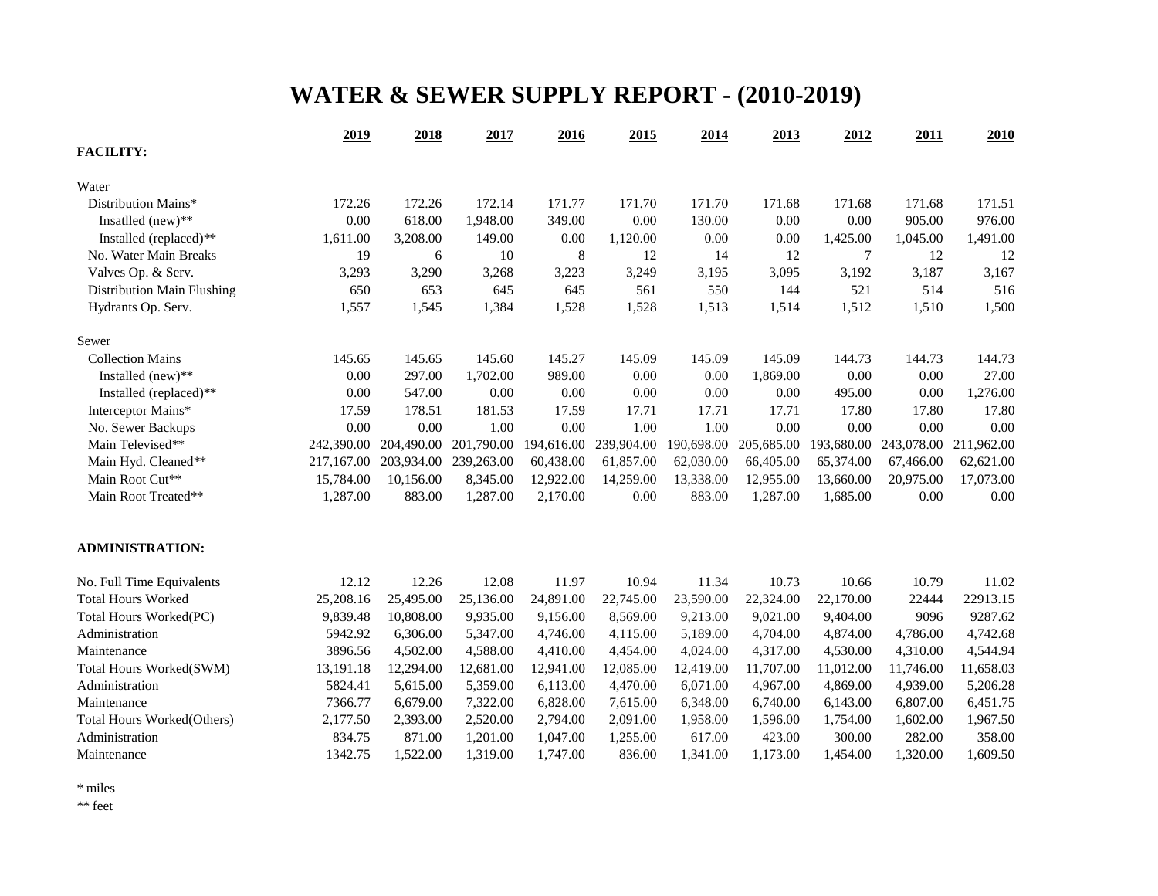# **WATER & SEWER SUPPLY REPORT - (2010-2019)**

|                            | 2019       | 2018       | 2017       | 2016      | 2015                  | 2014       | 2013       | 2012       | 2011       | 2010       |
|----------------------------|------------|------------|------------|-----------|-----------------------|------------|------------|------------|------------|------------|
| <b>FACILITY:</b>           |            |            |            |           |                       |            |            |            |            |            |
| Water                      |            |            |            |           |                       |            |            |            |            |            |
| Distribution Mains*        | 172.26     | 172.26     | 172.14     | 171.77    | 171.70                | 171.70     | 171.68     | 171.68     | 171.68     | 171.51     |
| Insatlled (new)**          | 0.00       | 618.00     | 1,948.00   | 349.00    | 0.00                  | 130.00     | 0.00       | 0.00       | 905.00     | 976.00     |
| Installed (replaced)**     | 1,611.00   | 3,208.00   | 149.00     | 0.00      | 1,120.00              | 0.00       | 0.00       | 1,425.00   | 1,045.00   | 1,491.00   |
| No. Water Main Breaks      | 19         | 6          | 10         | $\,8\,$   | 12                    | 14         | 12         | 7          | 12         | 12         |
| Valves Op. & Serv.         | 3,293      | 3,290      | 3,268      | 3,223     | 3,249                 | 3,195      | 3,095      | 3,192      | 3,187      | 3,167      |
| Distribution Main Flushing | 650        | 653        | 645        | 645       | 561                   | 550        | 144        | 521        | 514        | 516        |
| Hydrants Op. Serv.         | 1,557      | 1,545      | 1,384      | 1,528     | 1,528                 | 1,513      | 1,514      | 1,512      | 1,510      | 1,500      |
| Sewer                      |            |            |            |           |                       |            |            |            |            |            |
| <b>Collection Mains</b>    | 145.65     | 145.65     | 145.60     | 145.27    | 145.09                | 145.09     | 145.09     | 144.73     | 144.73     | 144.73     |
| Installed (new)**          | 0.00       | 297.00     | 1,702.00   | 989.00    | 0.00                  | 0.00       | 1,869.00   | 0.00       | 0.00       | 27.00      |
| Installed (replaced)**     | 0.00       | 547.00     | 0.00       | 0.00      | 0.00                  | 0.00       | $0.00\,$   | 495.00     | $0.00\,$   | 1,276.00   |
| Interceptor Mains*         | 17.59      | 178.51     | 181.53     | 17.59     | 17.71                 | 17.71      | 17.71      | 17.80      | 17.80      | 17.80      |
| No. Sewer Backups          | 0.00       | 0.00       | 1.00       | 0.00      | 1.00                  | 1.00       | 0.00       | 0.00       | 0.00       | 0.00       |
| Main Televised**           | 242,390.00 | 204,490.00 | 201,790.00 |           | 194,616.00 239,904.00 | 190,698.00 | 205,685.00 | 193,680.00 | 243,078.00 | 211,962.00 |
| Main Hyd. Cleaned**        | 217,167.00 | 203,934.00 | 239,263.00 | 60,438.00 | 61,857.00             | 62,030.00  | 66,405.00  | 65,374.00  | 67,466.00  | 62,621.00  |
| Main Root Cut**            | 15,784.00  | 10,156.00  | 8,345.00   | 12,922.00 | 14,259.00             | 13,338.00  | 12,955.00  | 13,660.00  | 20,975.00  | 17,073.00  |
| Main Root Treated**        | 1,287.00   | 883.00     | 1,287.00   | 2,170.00  | 0.00                  | 883.00     | 1,287.00   | 1,685.00   | 0.00       | 0.00       |
| <b>ADMINISTRATION:</b>     |            |            |            |           |                       |            |            |            |            |            |
| No. Full Time Equivalents  | 12.12      | 12.26      | 12.08      | 11.97     | 10.94                 | 11.34      | 10.73      | 10.66      | 10.79      | 11.02      |
| <b>Total Hours Worked</b>  | 25,208.16  | 25,495.00  | 25,136.00  | 24,891.00 | 22,745.00             | 23,590.00  | 22,324.00  | 22,170.00  | 22444      | 22913.15   |
| Total Hours Worked(PC)     | 9,839.48   | 10,808.00  | 9,935.00   | 9,156.00  | 8,569.00              | 9,213.00   | 9,021.00   | 9,404.00   | 9096       | 9287.62    |
| Administration             | 5942.92    | 6,306.00   | 5,347.00   | 4,746.00  | 4,115.00              | 5,189.00   | 4,704.00   | 4,874.00   | 4,786.00   | 4,742.68   |
| Maintenance                | 3896.56    | 4,502.00   | 4,588.00   | 4,410.00  | 4,454.00              | 4,024.00   | 4,317.00   | 4,530.00   | 4,310.00   | 4,544.94   |
| Total Hours Worked(SWM)    | 13,191.18  | 12,294.00  | 12,681.00  | 12,941.00 | 12,085.00             | 12,419.00  | 11,707.00  | 11,012.00  | 11,746.00  | 11,658.03  |
| Administration             | 5824.41    | 5,615.00   | 5,359.00   | 6,113.00  | 4,470.00              | 6,071.00   | 4,967.00   | 4,869.00   | 4,939.00   | 5,206.28   |
| Maintenance                | 7366.77    | 6,679.00   | 7,322.00   | 6,828.00  | 7,615.00              | 6,348.00   | 6,740.00   | 6,143.00   | 6,807.00   | 6,451.75   |
| Total Hours Worked(Others) | 2,177.50   | 2,393.00   | 2,520.00   | 2,794.00  | 2,091.00              | 1,958.00   | 1,596.00   | 1,754.00   | 1,602.00   | 1,967.50   |
| Administration             | 834.75     | 871.00     | 1,201.00   | 1,047.00  | 1,255.00              | 617.00     | 423.00     | 300.00     | 282.00     | 358.00     |
| Maintenance                | 1342.75    | 1,522.00   | 1,319.00   | 1,747.00  | 836.00                | 1,341.00   | 1,173.00   | 1,454.00   | 1,320.00   | 1,609.50   |

\* miles

\*\* feet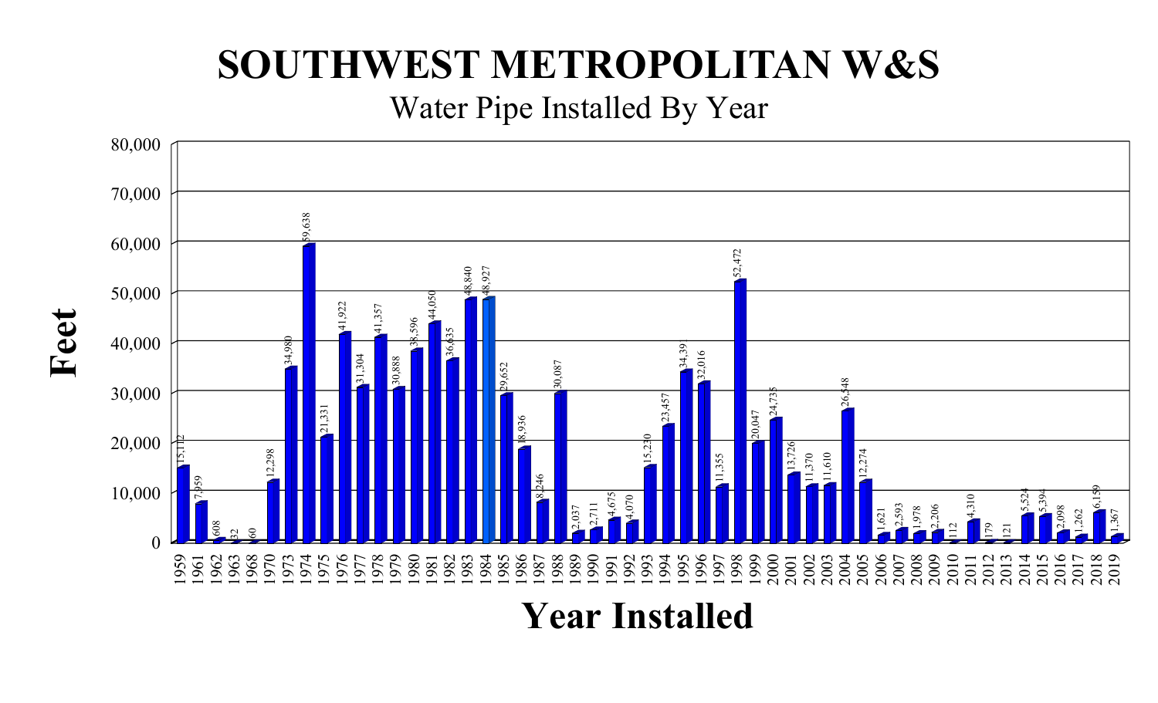# **SOUTHWEST METROPOLITAN W&S**

Water Pipe Installed By Year



**Feet**

**Year Installed**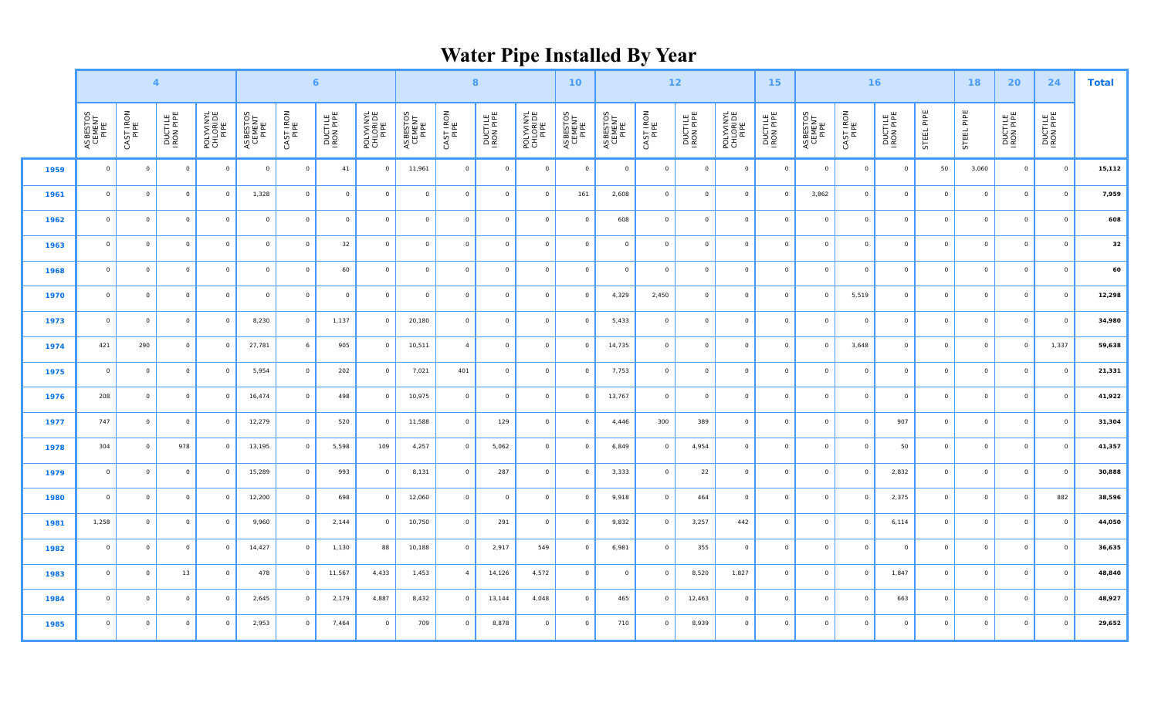# **Water Pipe Installed By Year**

|      |                            |                   | $\overline{4}$       |                               |                            |                   | $\epsilon$           |                               |                            |                | 8                    |                               | 10 <sub>1</sub>            | $12$                       |                         |                      |                               | 15 <sub>1</sub>      | 16                         |           |                      |                |            | 20                   | 24                   | <b>Total</b> |
|------|----------------------------|-------------------|----------------------|-------------------------------|----------------------------|-------------------|----------------------|-------------------------------|----------------------------|----------------|----------------------|-------------------------------|----------------------------|----------------------------|-------------------------|----------------------|-------------------------------|----------------------|----------------------------|-----------|----------------------|----------------|------------|----------------------|----------------------|--------------|
|      | ASBESTOS<br>CEMENT<br>PIPE | CAST IRON<br>PIPE | DUCTILE<br>IRON PIPE | POLYVINYL<br>CHLORIDE<br>PIPE | ASBESTOS<br>CEMENT<br>PIPE | CAST IRON<br>PIPE | DUCTILE<br>IRON PIPE | POLYVINYL<br>CHLORIDE<br>PIPE | ASBESTOS<br>CEMENT<br>PIPE | CAST IRON      | DUCTILE<br>IRON PIPE | POLYVINYL<br>CHLORIDE<br>PIPE | ASBESTOS<br>CEMENT<br>PIPE | ASBESTOS<br>CEMENT<br>PIPE | CAST IRON<br>PIPE       | DUCTILE<br>IRON PIPE | POLYVINYL<br>CHLORIDE<br>PIPE | DUCTILE<br>IRON PIPE | ASBESTOS<br>CEMENT<br>PIPE | CAST IRON | DUCTILE<br>IRON PIPE | STEEL PIPE     | STEEL PIPE | DUCTILE<br>IRON PIPE | DUCTILE<br>IRON PIPE |              |
| 1959 | $\circ$                    | $\circ$           | $\circ$              | $\circ$                       | $\circ$                    | $\circ$           | 41                   | $\circ$                       | 11,961                     | $\circ$        | $\circ$              | $\overline{0}$                | $\circ$                    | $\circ$                    | $\circ$                 | $\circ$              | $\circ$                       | $\circ$              | $\mathsf{O}$               | $\circ$   | $\circ$              | 50             | 3,060      | $\circ$              | $\circ$              | 15,112       |
| 1961 | $\circ$                    | $\overline{0}$    | $\circ$              | $\circ$                       | 1,328                      | $\circ$           | $\circ$              | $\circ$                       | $\circ$                    | $\mathsf{O}$   | $\mathsf{O}\xspace$  | $\circ$                       | 161                        | 2,608                      | $\circ$                 | $\mathsf{O}$         | $\circ$                       | $\circ$              | 3,862                      | $\circ$   | $\circ$              | $\circ$        | $\circ$    | $\circ$              | $\circ$              | 7,959        |
| 1962 | $\circ$                    | $\circ$           | $\circ$              | $\circ$                       | $\circ$                    | $\circ$           | $\circ$              | $\circ$                       | $\circ$                    | $\mathsf{O}$   | $\circ$              | $\circ$                       | $\circ$                    | 608                        | $\circ$                 | $\mathsf 0$          | $\circ$                       | $\circ$              | $\mathsf{O}$               | $\circ$   | $\circ$              | $\circ$        | $\circ$    | $\circ$              | $\circ$              | 608          |
| 1963 | $\circ$                    | $\circ$           | $\circ$              | $\circ$                       | $\circ$                    | $\circ$           | 32                   | $\circ$                       | $\circ$                    | $\mathbb O$    | $\circ$              | $\circ$                       | $\circ$                    | $\circ$                    | $\circ$                 | $\mathsf 0$          | $\circ$                       | $\circ$              | $\mathsf{O}$               | $\circ$   | $\circ$              | $\circ$        | $\circ$    | $\circ$              | $\circ$              | ${\bf 32}$   |
| 1968 | $\circ$                    | $\circ$           | $\circ$              | $\circ$                       | $\circ$                    | $\circ$           | 60                   | $\circ$                       | $\circ$                    | $\circ$        | $\mathsf{O}\xspace$  | $\circ$                       | $\circ$                    | $\circ$                    | $\overline{0}$          | $\mathsf{O}$         | $\circ$                       | $\Omega$             | $\mathsf{O}\xspace$        | $\circ$   | $\circ$              | $\circ$        | $\circ$    | $\mathsf{O}\xspace$  | $\circ$              | 60           |
| 1970 | $\circ$                    | $\circ$           | $\circ$              | $\circ$                       | $\circ$                    | $\circ$           | $\circ$              | $\circ$                       | $\circ$                    | $\mathsf{O}$   | $\circ$              | $\overline{0}$                | $\circ$                    | 4,329                      | 2,450                   | $\circ$              | $\circ$                       | $\circ$              | $\mathsf{O}$               | 5,519     | $\circ$              | $\circ$        | $\circ$    | $\circ$              | $\circ$              | 12,298       |
| 1973 | $\circ$                    | $\circ$           | $\circ$              | $\circ$                       | 8,230                      | $\circ$           | 1,137                | $\circ$                       | 20,180                     | $\circ$        | $\circ$              | $\overline{0}$                | $\circ$                    | 5,433                      | $\circ$                 | $\circ$              | $\circ$                       | $\circ$              | $\,$ O $\,$                | $\circ$   | $\circ$              | $\circ$        | $\circ$    | $\mathsf{O}$         | $\circ$              | 34,980       |
| 1974 | 421                        | 290               | $\circ$              | $\circ$                       | 27,781                     | 6                 | 905                  | $\circ$                       | 10,511                     | $\overline{4}$ | $\circ$              | $\circ$                       | $\circ$                    | 14,735                     | $\overline{0}$          | $\mathbf 0$          | $\circ$                       | $\Omega$             | $\circ$                    | 3,648     | $\circ$              | $\circ$        | $\circ$    | $\circ$              | 1,337                | 59,638       |
| 1975 | $\circ$                    | $\circ$           | $\circ$              | $\circ$                       | 5,954                      | $\circ$           | 202                  | $\circ$                       | 7,021                      | 401            | $\circ$              | $\overline{0}$                | $\circ$                    | 7,753                      | $\circ$                 | $\circ$              | $\circ$                       | $\circ$              | $\mathsf{O}$               | $\circ$   | $\circ$              | $\circ$        | $\circ$    | $\circ$              | $\circ$              | 21,331       |
| 1976 | 208                        | $\circ$           | $\overline{0}$       | $\circ$                       | 16,474                     | $\circ$           | 498                  | $\circ$                       | 10,975                     | $\circ$        | $\circ$              | $\overline{0}$                | $\circ$                    | 13,767                     | $\circ$                 | $\circ$              | $\circ$                       | $\circ$              | $\circ$                    | $\circ$   | $\circ$              | $\circ$        | $\circ$    | $\circ$              | $\overline{0}$       | 41,922       |
| 1977 | 747                        | $\circ$           | $\circ$              | $\circ$                       | 12,279                     | $\circ$           | 520                  | $\circ$                       | 11,588                     | $\circ$        | 129                  | $\circ$                       | $\overline{0}$             | 4,446                      | 300                     | 389                  | $\circ$                       | $\Omega$             | $\mathsf{O}\xspace$        | $\circ$   | 907                  | $\overline{0}$ | $\circ$    | $\circ$              | $\circ$              | 31,304       |
| 1978 | 304                        | $\circ$           | 978                  | $\circ$                       | 13,195                     | $\circ$           | 5,598                | 109                           | 4,257                      | $\circ$        | 5,062                | $\circ$                       | $\circ$                    | 6,849                      | $\overline{0}$          | 4,954                | $\circ$                       | $\Omega$             | $\circ$                    | $\circ$   | 50                   | $\circ$        | $\circ$    | $\circ$              | $\circ$              | 41,357       |
| 1979 | $\circ$                    | $\overline{0}$    | $\circ$              | $\circ$                       | 15,289                     | $\circ$           | 993                  | $\circ$                       | 8,131                      | $\circ$        | 287                  | $\circ$                       | $\circ$                    | 3,333                      | $\circ$                 | 22                   | $\circ$                       | $\circ$              | $\circ$                    | $\circ$   | 2,832                | $\overline{0}$ | $\circ$    | $\circ$              | $\overline{0}$       | 30,888       |
| 1980 | $\circ$                    | $\circ$           | $\circ$              | $\circ$                       | 12,200                     | $\circ$           | 698                  | $\circ$                       | 12,060                     | $\mathsf{O}$   | $\mathsf{O}\xspace$  | $\circ$                       | $\circ$                    | 9,918                      | $\circ$                 | 464                  | $\circ$                       | $\Omega$             | $\mathsf{O}\xspace$        | $\circ$   | 2,375                | $\overline{0}$ | $\circ$    | $\circ$              | 882                  | 38,596       |
| 1981 | 1,258                      | $\circ$           | $\circ$              | $\circ$                       | 9,960                      | $\circ$           | 2,144                | $\circ$                       | 10,750                     | $\circ$        | 291                  | $\overline{0}$                | $\circ$                    | 9,832                      | $\overline{0}$          | 3,257                | 442                           | $\circ$              | $\mathsf{O}$               | $\circ$   | 6,114                | $\circ$        | $\circ$    | $\circ$              | $\circ$              | 44,050       |
| 1982 | $\circ$                    | $\circ$           | $\circ$              | $\overline{0}$                | 14,427                     | $\circ$           | 1,130                | 88                            | 10,188                     | $\circ$        | 2,917                | 549                           | $\overline{0}$             | 6,981                      | $\circ$                 | 355                  | $\circ$                       | $\circ$              | $\mathsf{O}$               | $\circ$   | $\circ$              | $\overline{0}$ | $\circ$    | $\circ$              | $\circ$              | 36,635       |
| 1983 | $\circ$                    | $\circ$           | 13                   | $\circ$                       | 478                        | $\circ$           | 11,567               | 4,433                         | 1,453                      | $\overline{4}$ | 14,126               | 4,572                         | $\circ$                    | $\circ$                    | $\overline{\mathbf{0}}$ | 8,520                | 1,827                         | $\circ$              | $\mathsf{O}$               | $\circ$   | 1,847                | $\overline{0}$ | $\circ$    | $\circ$              | $\circ$              | 48,840       |
| 1984 | $\mathsf{O}$               | $\circ$           | $\circ$              | $\circ$                       | 2,645                      | $\circ$           | 2,179                | 4,887                         | 8,432                      | $\circ$        | 13,144               | 4,048                         | $\circ$                    | 465                        | $\overline{0}$          | 12,463               | $\circ$                       | $\circ$              | $\mathsf{O}\xspace$        | $\circ$   | 663                  | $\circ$        | $\Omega$   | $\mathsf{O}\xspace$  | $\circ$              | 48,927       |
| 1985 | $\circ$                    | $\circ$           | $\circ$              | $\overline{0}$                | 2,953                      | $\circ$           | 7,464                | $\circ$                       | 709                        | $\circ$        | 8,878                | $\circ$                       | $\circ$                    | 710                        | $\circ$                 | 8,939                | $\circ$                       | $\circ$              | $\circ$                    | $\circ$   | $\circ$              | $\circ$        | $\circ$    | $\circ$              | $\circ$              | 29,652       |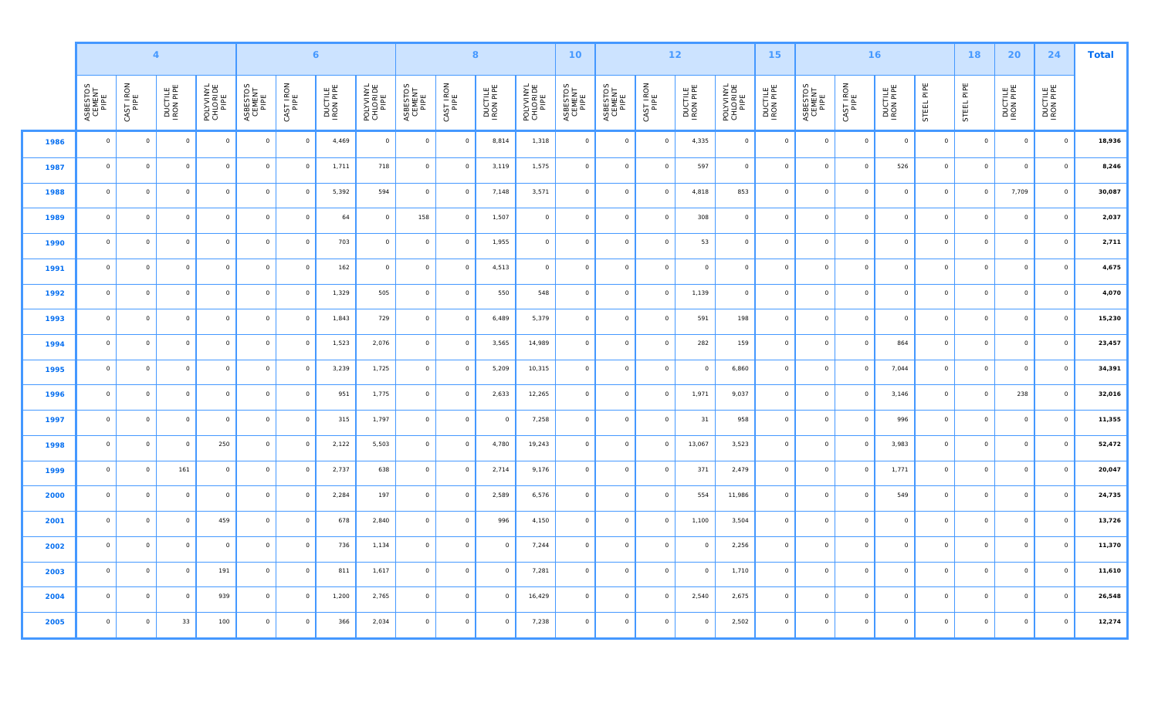|      |                            |                   | $\overline{\mathbf{4}}$ |                               |                            |                   | $\mathbf{6}$         | $\boldsymbol{8}$<br>$12$<br>10 <sub>1</sub><br>15 <sub>1</sub> |                            |                |                      |                               |                            | 16                         |                         | 18                   | 20                            | 24                   | <b>Total</b>               |                   |                      |                |            |                      |                      |        |
|------|----------------------------|-------------------|-------------------------|-------------------------------|----------------------------|-------------------|----------------------|----------------------------------------------------------------|----------------------------|----------------|----------------------|-------------------------------|----------------------------|----------------------------|-------------------------|----------------------|-------------------------------|----------------------|----------------------------|-------------------|----------------------|----------------|------------|----------------------|----------------------|--------|
|      | ASBESTOS<br>CEMENT<br>PIPE | CAST IRON<br>PIPE | DUCTILE<br>IRON PIPE    | POLYVINYL<br>CHLORIDE<br>PIPE | ASBESTOS<br>CEMENT<br>PIPE | CAST IRON<br>PIPE | DUCTILE<br>IRON PIPE | POLYVINYL<br>CHLORIDE<br>PIPE                                  | ASBESTOS<br>CEMENT<br>PIPE | CAST IRON      | DUCTILE<br>IRON PIPE | POLYVINYL<br>CHLORIDE<br>PIPE | ASBESTOS<br>CEMENT<br>PIPE | ASBESTOS<br>CEMENT<br>PIPE | CAST IRON<br>PIPE       | DUCTILE<br>IRON PIPE | POLYVINYL<br>CHLORIDE<br>PIPE | DUCTILE<br>IRON PIPE | ASBESTOS<br>CEMENT<br>PIPE | CAST IRON<br>PIPE | DUCTILE<br>IRON PIPE | STEEL PIPE     | STEEL PIPE | DUCTILE<br>IRON PIPE | DUCTILE<br>IRON PIPE |        |
| 1986 | $\circ$                    | $\circ$           | $\circ$                 | $\circ$                       | $\overline{0}$             | $\circ$           | 4,469                | $\circ$                                                        | $\mathsf{O}\xspace$        | $\overline{0}$ | 8,814                | 1,318                         | $\overline{0}$             | $\circ$                    | $\circ$                 | 4,335                | $\circ$                       | $\circ$              | $\circ$                    | $\circ$           | $\overline{0}$       | $\circ$        | $\circ$    | $\circ$              | $\overline{0}$       | 18,936 |
| 1987 | $\circ$                    | $\circ$           | $\circ$                 | $\circ$                       | $\circ$                    | $\circ$           | 1,711                | 718                                                            | $\circ$                    | $\circ$        | 3,119                | 1,575                         | $\circ$                    | $\circ$                    | $\overline{\mathbf{0}}$ | 597                  | $\circ$                       | $\circ$              | $\mathsf{O}$               | $\circ$           | 526                  | $\circ$        | $\circ$    | $\mathsf{O}$         | $\,$ O               | 8,246  |
| 1988 | $\circ$                    | $\circ$           | $\circ$                 | $\circ$                       | $\circ$                    | $\circ$           | 5,392                | 594                                                            | $\circ$                    | $\circ$        | 7,148                | 3,571                         | $\circ$                    | $\circ$                    | $\circ$                 | 4,818                | 853                           | $\circ$              | $\circ$                    | $\circ$           | $\circ$              | $\circ$        | $\circ$    | 7,709                | $\overline{0}$       | 30,087 |
| 1989 | $\circ$                    | $\circ$           | $\circ$                 | $\circ$                       | $\circ$                    | $\circ$           | 64                   | $\circ$                                                        | 158                        | $\circ$        | 1,507                | $\overline{0}$                | $\circ$                    | $\circ$                    | $\circ$                 | 308                  | $\circ$                       | $\circ$              | $\mathsf{O}$               | $\circ$           | $\circ$              | $\overline{0}$ | $\circ$    | $\circ$              | $\overline{0}$       | 2,037  |
| 1990 | $\circ$                    | $\circ$           | $\circ$                 | $\circ$                       | $\overline{0}$             | $\circ$           | 703                  | $\circ$                                                        | $\mathsf{O}\xspace$        | $\circ$        | 1,955                | $\circ$                       | $\circ$                    | $\circ$                    | $\overline{0}$          | 53                   | $\circ$                       | $\circ$              | $\mathsf{O}$               | $\circ$           | $\circ$              | $\circ$        | $\circ$    | $\mathsf{O}$         | $\overline{0}$       | 2,711  |
| 1991 | $\circ$                    | $\circ$           | $\circ$                 | $\circ$                       | $\circ$                    | $\circ$           | 162                  | $\circ$                                                        | $\circ$                    | $\circ$        | 4,513                | $\circ$                       | $\circ$                    | $\circ$                    | $\circ$                 | $\circ$              | $\circ$                       | $\circ$              | $\circ$                    | $\circ$           | $\circ$              | $\circ$        | $\circ$    | $\circ$              | $\overline{0}$       | 4,675  |
| 1992 | $\circ$                    | $\circ$           | $\circ$                 | $\circ$                       | $\overline{0}$             | $\circ$           | 1,329                | 505                                                            | $\mathsf{O}\xspace$        | $\circ$        | 550                  | 548                           | $\circ$                    | $\circ$                    | $\circ$                 | 1,139                | $\circ$                       | $\circ$              | $\mathsf{O}$               | $\circ$           | $\circ$              | $\circ$        | $\circ$    | $\mathsf{O}$         | $\overline{0}$       | 4,070  |
| 1993 | $\circ$                    | $\circ$           | $\circ$                 | $\circ$                       | $\circ$                    | $\circ$           | 1,843                | 729                                                            | $\circ$                    | $\overline{0}$ | 6,489                | 5,379                         | $\circ$                    | $\circ$                    | $\circ$                 | 591                  | 198                           | $\circ$              | $\circ$                    | $\circ$           | $\circ$              | $\circ$        | $\circ$    | $\circ$              | $\overline{0}$       | 15,230 |
| 1994 | $\circ$                    | $\circ$           | $\circ$                 | $\circ$                       | $\circ$                    | $\circ$           | 1,523                | 2,076                                                          | $\circ$                    | $\circ$        | 3,565                | 14,989                        | $\circ$                    | $\circ$                    | $\circ$                 | 282                  | 159                           | $\circ$              | $\circ$                    | $\circ$           | 864                  | $\circ$        | $\circ$    | $\circ$              | $\overline{0}$       | 23,457 |
| 1995 | $\circ$                    | $\circ$           | $\circ$                 | $\circ$                       | $\circ$                    | $\circ$           | 3,239                | 1,725                                                          | $\mathsf{O}\xspace$        | $\circ$        | 5,209                | 10,315                        | $\circ$                    | $\circ$                    | $\circ$                 | $\circ$              | 6,860                         | $\circ$              | $\mathsf{O}$               | $\circ$           | 7,044                | $\overline{0}$ | $\circ$    | $\circ$              | $\overline{0}$       | 34,391 |
| 1996 | $\circ$                    | $\circ$           | $\circ$                 | $\circ$                       | $\circ$                    | $\circ$           | 951                  | 1,775                                                          | $\circ$                    | $\overline{0}$ | 2,633                | 12,265                        | $\circ$                    | $\circ$                    | $\circ$                 | 1,971                | 9,037                         | $\Omega$             | $\circ$                    | $\circ$           | 3,146                | $\circ$        | $\circ$    | 238                  | $\overline{0}$       | 32,016 |
| 1997 | $\circ$                    | $\circ$           | $\circ$                 | $\circ$                       | $\circ$                    | $\circ$           | 315                  | 1,797                                                          | $\circ$                    | $\circ$        | $\circ$              | 7,258                         | $\circ$                    | $\circ$                    | $\circ$                 | 31                   | 958                           | $\circ$              | $\circ$                    | $\circ$           | 996                  | $\circ$        | $\circ$    | $\circ$              | $\circ$              | 11,355 |
| 1998 | $\circ$                    | $\circ$           | $\circ$                 | 250                           | $\circ$                    | $\,$ O            | 2,122                | 5,503                                                          | $\mathsf{O}\xspace$        | $\overline{0}$ | 4,780                | 19,243                        | $\circ$                    | $\mathsf{O}\xspace$        | $\circ$                 | 13,067               | 3,523                         | $\circ$              | $\mathsf{O}\xspace$        | $\circ$           | 3,983                | $\circ$        | $\circ$    | $\mathsf{O}$         | $\,$ O               | 52,472 |
| 1999 | $\circ$                    | $\circ$           | 161                     | $\circ$                       | $\circ$                    | $\circ$           | 2,737                | 638                                                            | $\circ$                    | $\circ$        | 2,714                | 9,176                         | $\circ$                    | $\circ$                    | $\circ$                 | 371                  | 2,479                         | $\circ$              | $\circ$                    | $\circ$           | 1,771                | $\circ$        | $\circ$    | $\circ$              | $\circ$              | 20,047 |
| 2000 | $\circ$                    | $\circ$           | $\circ$                 | $\circ$                       | $\circ$                    | $\circ$           | 2,284                | 197                                                            | $\circ$                    | $\circ$        | 2,589                | 6,576                         | $\overline{0}$             | $\circ$                    | $\circ$                 | 554                  | 11,986                        | $\circ$              | $\circ$                    | $\circ$           | 549                  | $\overline{0}$ | $\circ$    | $\circ$              | $\circ$              | 24,735 |
| 2001 | $\circ$                    | $\circ$           | $\circ$                 | 459                           | $\circ$                    | $\circ$           | 678                  | 2,840                                                          | $\circ$                    | $\circ$        | 996                  | 4,150                         | $\circ$                    | $\circ$                    | $\overline{\mathbf{0}}$ | 1,100                | 3,504                         | $\circ$              | $\circ$                    | $\circ$           | $\circ$              | $\overline{0}$ | $\circ$    | $\circ$              | $\overline{0}$       | 13,726 |
| 2002 | $\circ$                    | $\circ$           | $\circ$                 | $\circ$                       | $\circ$                    | $\circ$           | 736                  | 1,134                                                          | $\mathsf{O}\xspace$        | $\circ$        | $\Omega$             | 7,244                         | $\circ$                    | $\circ$                    | $\circ$                 | $\circ$              | 2,256                         | $\circ$              | $\mathsf{O}$               | $\circ$           | $\circ$              | $\overline{0}$ | $\circ$    | $\circ$              | $\overline{0}$       | 11,370 |
| 2003 | $\circ$                    | $\circ$           | $\circ$                 | 191                           | $\circ$                    | $\circ$           | 811                  | 1,617                                                          | $\circ$                    | $\circ$        | $\circ$              | 7,281                         | $\overline{0}$             | $\circ$                    | $\circ$                 | $\circ$              | 1,710                         | $\circ$              | $\circ$                    | $\circ$           | $\circ$              | $\overline{0}$ | $\circ$    | $\circ$              | $\overline{0}$       | 11,610 |
| 2004 | $\circ$                    | $\circ$           | $\circ$                 | 939                           | $\circ$                    | $\circ$           | 1,200                | 2,765                                                          | $\circ$                    | $\circ$        | $\circ$              | 16,429                        | $\circ$                    | $\circ$                    | $\overline{0}$          | 2,540                | 2,675                         | $\circ$              | $\mathsf{O}$               | $\circ$           | $\circ$              | $\circ$        | $\circ$    | $\mathsf{O}$         | $\overline{0}$       | 26,548 |
| 2005 | $\circ$                    | $\circ$           | 33                      | 100                           | $\circ$                    | $\circ$           | 366                  | 2,034                                                          | $\circ$                    | $\,$ 0 $\,$    | $\circ$              | 7,238                         | $\circ$                    | $\circ$                    | $\circ$                 | $\circ$              | 2,502                         | $\circ$              | $\circ$                    | $\circ$           | $\circ$              | $\circ$        | $\circ$    | $\circ$              | $\overline{0}$       | 12,274 |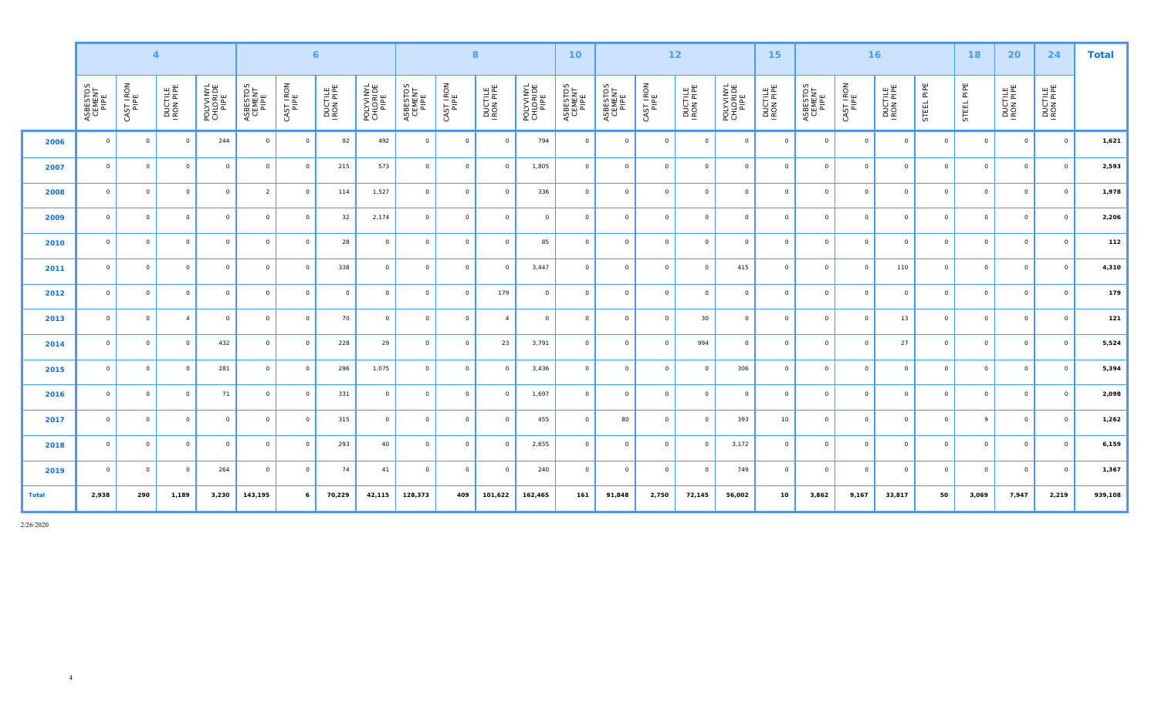|              |                            |                   | $\overline{4}$       |                               |                            |                   | $\epsilon$           |                               |                            |           | 8                    |                               | 10 <sup>°</sup>            |                            |                   | $12$                 |                               | 15                   |                            |                   | 16                   |                | 18         | 20                   | 24                   | <b>Total</b> |
|--------------|----------------------------|-------------------|----------------------|-------------------------------|----------------------------|-------------------|----------------------|-------------------------------|----------------------------|-----------|----------------------|-------------------------------|----------------------------|----------------------------|-------------------|----------------------|-------------------------------|----------------------|----------------------------|-------------------|----------------------|----------------|------------|----------------------|----------------------|--------------|
|              | ASBESTOS<br>CEMENT<br>PIPE | CAST IRON<br>PIPE | DUCTILE<br>IRON PIPE | POLYVINYL<br>CHLORIDE<br>PIPE | ASBESTOS<br>CEMENT<br>PIPE | CAST IRON<br>PIPE | DUCTILE<br>IRON PIPE | POLYVINYL<br>CHLORIDE<br>PIPE | ASBESTOS<br>CEMENT<br>PIPE | CAST IRON | DUCTILE<br>IRON PIPE | POLYVINYL<br>CHLORIDE<br>PIPE | ASBESTOS<br>CEMENT<br>PIPE | ASBESTOS<br>CEMENT<br>PIPE | CAST IRON<br>PIPE | DUCTILE<br>IRON PIPE | POLYVINYL<br>CHLORIDE<br>PIPE | DUCTILE<br>IRON PIPE | ASBESTOS<br>CEMENT<br>PIPE | CAST IRON<br>PIPE | DUCTILE<br>IRON PIPE | STEEL PIPE     | STEEL PIPE | DUCTILE<br>IRON PIPE | DUCTILE<br>IRON PIPE |              |
| 2006         | $\circ$                    | $\circ$           | $\Omega$             | 244                           | $\circ$                    | $\circ$           | 92                   | 492                           | $\circ$                    | $\circ$   | $\circ$              | 794                           | $\circ$                    | $\circ$                    | $\circ$           | $\circ$              | $\circ$                       | $\circ$              | $\circ$                    | $\circ$           | $\circ$              | $\overline{0}$ | $\circ$    | $\circ$              | $\circ$              | 1,621        |
| 2007         | $\circ$                    | $\circ$           | $\circ$              | $\circ$                       | $\circ$                    | $\circ$           | 215                  | 573                           | $\circ$                    | $\circ$   | $\circ$              | 1,805                         | $\circ$                    | $\circ$                    | $\circ$           | $\circ$              | $\circ$                       | $\circ$              | $\circ$                    | $\circ$           | $\circ$              | $\circ$        | $\circ$    | $\circ$              | $\circ$              | 2,593        |
| 2008         | $\Omega$                   | $\circ$           | $\Omega$             | $\circ$                       | $\overline{2}$             | $\circ$           | 114                  | 1,527                         | $\circ$                    | $\Omega$  | $\Omega$             | 336                           | $\circ$                    | $\circ$                    | $\circ$           | $\circ$              | $\circ$                       | $\Omega$             | $\circ$                    | $\Omega$          | $\circ$              | $\circ$        | $\circ$    | $\circ$              | $\Omega$             | 1,978        |
| 2009         | $\Omega$                   | $\circ$           | $\circ$              | $\circ$                       | $\circ$                    | $\circ$           | 32                   | 2,174                         | $\circ$                    | $\circ$   | $\circ$              | $\circ$                       | $\circ$                    | $\circ$                    | $\circ$           | $\circ$              | $\circ$                       | $\Omega$             | $\circ$                    | $\circ$           | $\circ$              | $\overline{0}$ | $\circ$    | $\circ$              | $\circ$              | 2,206        |
| 2010         | $\Omega$                   | $\circ$           | $\Omega$             | $\circ$                       | $\circ$                    | $\circ$           | 28                   | $\Omega$                      | $\circ$                    | $\Omega$  | $\Omega$             | 85                            | $\Omega$                   | $\circ$                    | $\circ$           | $\circ$              | $\circ$                       | $\Omega$             | $\circ$                    | $\Omega$          | $\circ$              | $\circ$        | $\circ$    | $\circ$              | $\Omega$             | 112          |
| 2011         | $\Omega$                   | $\circ$           | $\Omega$             | $\circ$                       | $\circ$                    | $\circ$           | 338                  | $\Omega$                      | $\circ$                    | $\Omega$  | $\Omega$             | 3,447                         | $\circ$                    | $\circ$                    | $\circ$           | $\circ$              | 415                           | $\Omega$             | $\circ$                    | $\Omega$          | 110                  | $\circ$        | $\circ$    | $\circ$              | $\Omega$             | 4,310        |
| 2012         | $\Omega$                   | $\circ$           | $\Omega$             | $\circ$                       | $\circ$                    | $\circ$           | $\circ$              | $\Omega$                      | $\circ$                    | $\Omega$  | 179                  | $\circ$                       | $\circ$                    | $\circ$                    | $\circ$           | $\circ$              | $\circ$                       | $\Omega$             | $\circ$                    | $\circ$           | $\circ$              | $\circ$        | $\circ$    | $\circ$              | $\Omega$             | 179          |
| 2013         | $\Omega$                   | $\circ$           | $\overline{4}$       | $\circ$                       | $\circ$                    | $\circ$           | 70                   | $\circ$                       | $\circ$                    | $\circ$   | $\overline{4}$       | $\circ$                       | $\circ$                    | $\circ$                    | $\circ$           | $30\,$               | $\circ$                       | $\Omega$             | $\circ$                    | $\Omega$          | 13                   | $\circ$        | $\circ$    | $\circ$              | $\Omega$             | 121          |
| 2014         | $\Omega$                   | $\circ$           | $\Omega$             | 432                           | $\circ$                    | $\circ$           | 228                  | 29                            | $\circ$                    | $\Omega$  | 23                   | 3,791                         | $\circ$                    | $\circ$                    | $\overline{0}$    | 994                  | $\circ$                       | $\Omega$             | $\circ$                    | $\Omega$          | 27                   | $\circ$        | $\circ$    | $\circ$              | $\Omega$             | 5,524        |
| 2015         | $\Omega$                   | $\circ$           | $\Omega$             | 281                           | $\circ$                    | $\circ$           | 296                  | 1,075                         | $\circ$                    | $\circ$   | $\Omega$             | 3,436                         | $\circ$                    | $\circ$                    | $\circ$           | $\circ$              | 306                           | $\Omega$             | $\circ$                    | $\Omega$          | $\circ$              | $\circ$        | $\circ$    | $\circ$              | $\Omega$             | 5,394        |
| 2016         | $\Omega$                   | $\circ$           | $\circ$              | 71                            | $\circ$                    | $\circ$           | 331                  | $\circ$                       | $\circ$                    | $\circ$   | $\Omega$             | 1,697                         | $\circ$                    | $\circ$                    | $\circ$           | $\circ$              | $\circ$                       | $\Omega$             | $\circ$                    | $\circ$           | $\circ$              | $\circ$        | $\circ$    | $\circ$              | $\Omega$             | 2,098        |
| 2017         | $\Omega$                   | $\circ$           | $\Omega$             | $\circ$                       | $\circ$                    | $\circ$           | 315                  | $\circ$                       | $\circ$                    | $\Omega$  | $\Omega$             | 455                           | $\circ$                    | 80                         | $\Omega$          | $\circ$              | 393                           | 10                   | $\circ$                    | $\Omega$          | $\Omega$             | $\overline{0}$ | 9          | $\circ$              | $\Omega$             | 1,262        |
| 2018         | $\Omega$                   | $\circ$           | $\circ$              | $\circ$                       | $\circ$                    | $\circ$           | 293                  | 40                            | $\circ$                    | $\circ$   | $\Omega$             | 2,655                         | $\circ$                    | $\circ$                    | $\circ$           | $\circ$              | 3,172                         | $\Omega$             | $\circ$                    | $\circ$           | $\circ$              | $\circ$        | $\circ$    | $\circ$              | $\Omega$             | 6,159        |
| 2019         | $\Omega$                   | $\circ$           | $\circ$              | 264                           | $\circ$                    | $\circ$           | 74                   | 41                            | $\circ$                    | $\circ$   | $\Omega$             | 240                           | $\circ$                    | $\circ$                    | $\circ$           | $\circ$              | 749                           | $\Omega$             | $\circ$                    | $\Omega$          | $\circ$              | $\overline{0}$ | $\circ$    | $\circ$              | $\Omega$             | 1,367        |
| <b>Total</b> | 2,938                      | 290               | 1,189                | 3,230                         | 143,195                    | 6                 | 70,229               | 42,115                        | 128,373                    | 409       | 101,622              | 162,465                       | 161                        | 91,848                     | 2,750             | 72,145               | 56,002                        | 10                   | 3,862                      | 9,167             | 33,817               | 50             | 3,069      | 7,947                | 2,219                | 939,108      |

2/26/2020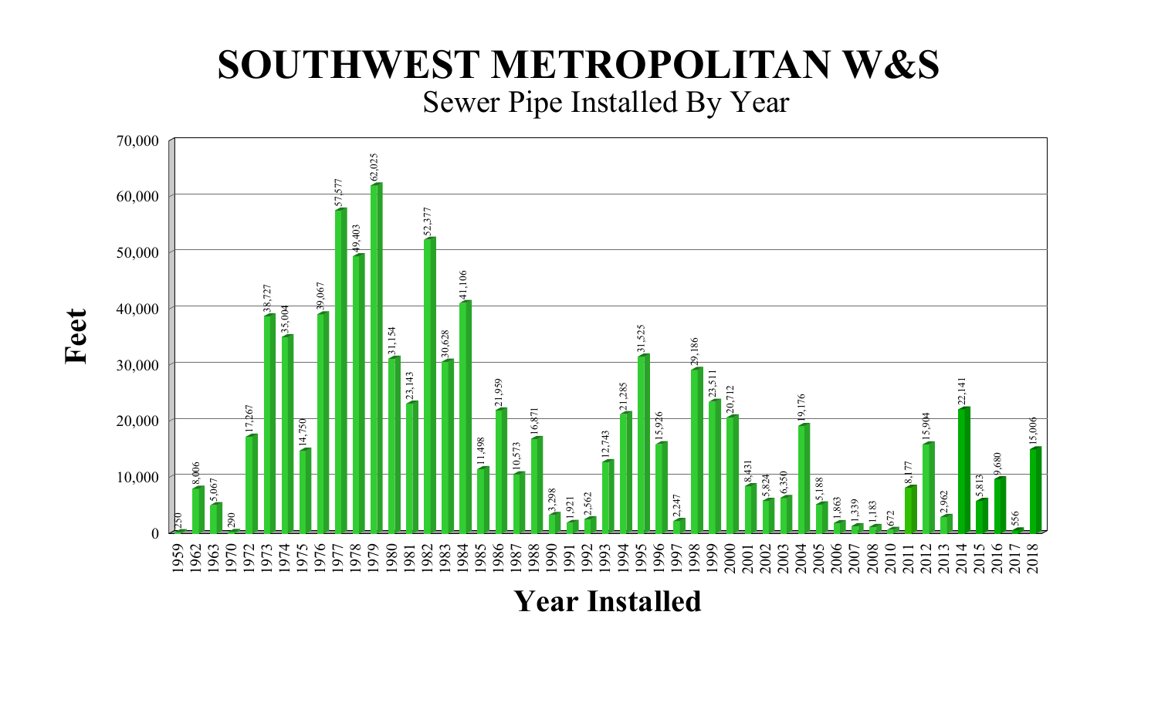# Sewer Pipe Installed By Year **SOUTHWEST METROPOLITAN W&S**



**Year Installed**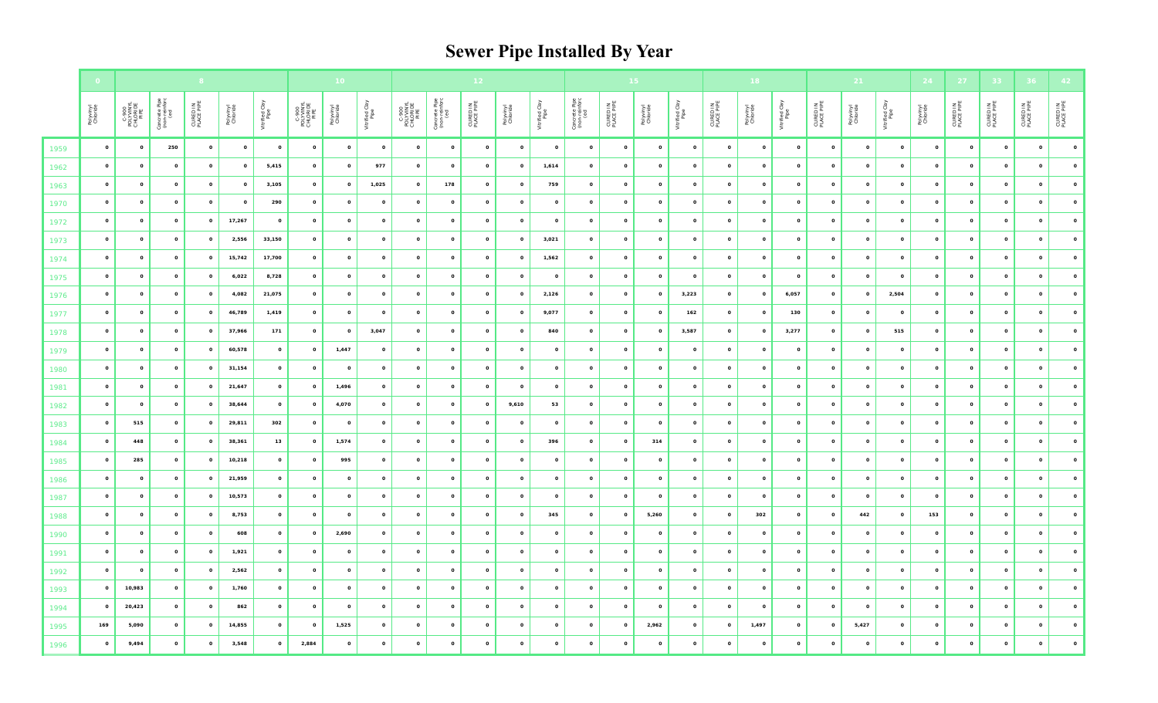# **Sewer Pipe Installed By Year**

|      |                       |                                        |                                       |                        |                       |                        |                                        | 10 <sub>1</sub>       |                        |                                        |                                       |                        |              |                        |                                       |                        |                       |                        |                        | 18                    |                        |                        | 21           |                        | 24                    | 27                      | 33                     |                         |                        |
|------|-----------------------|----------------------------------------|---------------------------------------|------------------------|-----------------------|------------------------|----------------------------------------|-----------------------|------------------------|----------------------------------------|---------------------------------------|------------------------|--------------|------------------------|---------------------------------------|------------------------|-----------------------|------------------------|------------------------|-----------------------|------------------------|------------------------|--------------|------------------------|-----------------------|-------------------------|------------------------|-------------------------|------------------------|
|      | Polyvinyl<br>Chloride | C-900<br>POLYVINYL<br>CHLORIDE<br>PIPE | Concrete Pipe<br>(non-reinforc<br>(ed | CURED IN<br>PLACE PIPE | Polyvinyl<br>Chloride | Vitrified Clay<br>Pipe | C-900<br>POLYVINYL<br>CHLORIDE<br>PIPE | Polyvinyl<br>Chloride | Vitrified Clay<br>Pipe | C-900<br>POLYVINYL<br>CHLORIDE<br>PIPE | Concrete Pipe<br>(non-reinforc<br>(ed | CURED IN<br>PLACE PIPE | Polyvinyl    | Vitrified Clay<br>Pipe | Concrete Pipe<br>(non-reinforc<br>(ed | CURED IN<br>PLACE PIPE | Polyvinyl<br>Chloride | Vitrified Clay<br>Pipe | CURED IN<br>PLACE PIPE | Polyvinyl<br>Chloride | Vitrified Clay<br>Pipe | CURED IN<br>PLACE PIPE | Polyvinyl    | Vitrified Clay<br>Pipe | Polyvinyl<br>Chloride | CURED IN<br>PLACE PIPE  | CURED IN<br>PLACE PIPE | CURED IN<br>PLACE PIPE  | CURED IN<br>PLACE PIPE |
| 1959 | $\mathbf{o}$          | $\circ$                                | 250                                   | $\circ$                | $\circ$               | $\mathbf{o}$           | $\circ$                                | $\circ$               | $\circ$                | $\circ$                                | $\overline{\mathbf{O}}$               | $\circ$                | $\circ$      | $\circ$                | $\circ$                               | $\mathbf{o}$           | $\circ$               | $\mathbf{o}$           | $\circ$                | $\circ$               | $\circ$                | $\mathbf{o}$           | $\circ$      | $\circ$                | $\circ$               | $\mathbf{o}$            | $\circ$                | $\overline{\mathbf{0}}$ | $\circ$                |
| 1962 | $\mathbf{o}$          | $\mathbf{o}$                           | $\circ$                               | $\circ$                | $\circ$               | 5,415                  | $\mathbf{o}$                           | $\mathbf{o}$          | 977                    | $\circ$                                | $\circ$                               | $\bullet$              | $\circ$      | 1,614                  | $\circ$                               | $\circ$                | $\circ$               | $\circ$                | $\mathbf{o}$           | $\circ$               | $\circ$                | $\mathbf{o}$           | $\circ$      | $\circ$                | $\mathbf{o}$          | $\mathbf{o}$            | $\mathbf{o}$           | $\circ$                 | $\mathbf{o}$           |
| 1963 | $\mathbf{o}$          | $\mathbf{o}$                           | $\circ$                               | $\mathbf{o}$           | $\mathbf{o}$          | 3,105                  | $\mathbf{o}$                           | $\mathbf{o}$          | 1,025                  | $\mathbf{o}$                           | 178                                   | $\mathbf{o}$           | $\circ$      | 759                    | $\circ$                               | $\mathbf{o}$           | $\mathbf{o}$          | $\circ$                | $\circ$                | $\circ$               | $\mathbf{o}$           | $\mathbf{o}$           | $\mathbf{o}$ | $\circ$                | $\mathbf{o}$          | $\overline{\mathbf{0}}$ | $\mathbf{o}$           | $\mathbf{o}$            | $\mathbf{o}$           |
| 1970 | $\circ$               | $\circ$                                | $\circ$                               | $\circ$                | $\circ$               | 290                    | $\mathbf{o}$                           | $\mathbf{o}$          | $\circ$                | $\circ$                                | $\mathbf{o}$                          | $\bullet$              | $\circ$      | $\mathbf{o}$           | $\mathbf{o}$                          | $\circ$                | $\mathbf{o}$          | $\circ$                | $\circ$                | $\circ$               | $\mathbf{o}$           | $\mathbf{o}$           | $\mathbf{o}$ | $\circ$                | $\mathbf{o}$          | $\mathbf{o}$            | $\mathbf{o}$           | $\circ$                 | $\circ$                |
| 1972 | $\mathbf{o}$          | $\circ$                                | $\circ$                               | $\circ$                | 17,267                | $\mathbf{o}$           | $\mathbf{o}$                           | $\mathbf{o}$          | $\mathbf{o}$           | $\mathbf{o}$                           | $\mathbf{o}$                          | $\bullet$              | $\circ$      | $\mathbf{o}$           | $\circ$                               | $\mathbf{o}$           | $\mathbf{o}$          | $\circ$                | $\circ$                | $\circ$               | $\circ$                | $\circ$                | $\mathbf{o}$ | $\circ$                | $\mathbf{o}$          | $\mathbf{o}$            | $\mathbf{o}$           | $\mathbf{o}$            | $\mathbf{o}$           |
| 1973 | $\mathbf{o}$          | $\circ$                                | $\circ$                               | $\mathbf{o}$           | 2,556                 | 33,150                 | $\mathbf{o}$                           | $\mathbf{o}$          | $\mathbf{o}$           | $\mathbf{o}$                           | $\mathbf{o}$                          | $\mathbf{o}$           | $\circ$      | 3,021                  | $\circ$                               | $\mathbf{o}$           | $\mathbf{o}$          | $\mathbf{o}$           | $\circ$                | $\circ$               | $\circ$                | $\circ$                | $\mathbf{o}$ | $\circ$                | $\mathbf{o}$          | $\mathbf{o}$            | $\mathbf{o}$           | $\mathbf{o}$            | $\mathbf{o}$           |
| 1974 | $\circ$               | $\mathbf{o}$                           | $\circ$                               | $\mathbf{o}$           | 15,742                | 17,700                 | $\circ$                                | $\mathbf{o}$          | $\circ$                | $\mathbf{o}$                           | $\circ$                               | $\mathbf{o}$           | $\circ$      | 1,562                  | $\mathbf{o}$                          | $\circ$                | $\circ$               | $\circ$                | $\circ$                | $\mathbf{o}$          | $\circ$                | $\circ$                | $\mathbf{o}$ | $\circ$                | $\mathbf{o}$          | $\mathbf{o}$            | $\mathbf{o}$           | $\circ$                 | $\mathbf{o}$           |
| 1975 | $\circ$               | $\circ$                                | $\circ$                               | $\mathbf{o}$           | 6,022                 | 8,728                  | $\circ$                                | $\circ$               | $\mathbf{o}$           | $\circ$                                | $\circ$                               | $\mathbf{o}$           | $\mathbf{o}$ | $\circ$                | $\circ$                               | $\circ$                | $\circ$               | $\circ$                | $\circ$                | $\circ$               | $\circ$                | $\circ$                | $\circ$      | $\circ$                | $\mathbf{o}$          | $\,$ O                  | $\mathbf{o}$           | $\mathbf{o}$            | $\mathbf{o}$           |
| 1976 | $\mathbf{o}$          | $\circ$                                | $\circ$                               | $\mathbf{o}$           | 4,082                 | 21,075                 | $\mathbf{o}$                           | $\mathbf{o}$          | $\mathbf 0$            | $\circ$                                | $\circ$                               | $\circ$                | $\circ$      | 2,126                  | $\circ$                               | $\circ$                | $\circ$               | 3,223                  | $\circ$                | $\circ$               | 6,057                  | $\circ$                | $\circ$      | 2,504                  | $\circ$               | $\circ$                 | $\mathbf{o}$           | $\circ$                 | $\circ$                |
| 1977 | $\circ$               | $\mathbf{o}$                           | $\circ$                               | $\circ$                | 46,789                | 1,419                  | $\circ$                                | $\mathbf{o}$          | $\mathbf{o}$           | $\circ$                                | $\mathbf{o}$                          | $\mathbf{o}$           | $\circ$      | 9,077                  | $\mathbf{o}$                          | $\mathbf{o}$           | $\circ$               | 162                    | $\circ$                | $\circ$               | 130                    | $\circ$                | $\circ$      | $\circ$                | $\mathbf{o}$          | $\circ$                 | $\mathbf{o}$           | $\circ$                 | $\circ$                |
| 1978 | $\mathbf{o}$          | $\mathbf{o}$                           | $\circ$                               | $\circ$                | 37,966                | 171                    | $\mathbf{o}$                           | $\mathbf{o}$          | 3,047                  | $\mathbf{o}$                           | $\mathbf{o}$                          | $\mathbf{o}$           | $\mathbf{o}$ | 840                    | $\circ$                               | $\mathbf{o}$           | $\mathbf{o}$          | 3,587                  | $\circ$                | $\circ$               | 3,277                  | $\circ$                | $\mathbf{o}$ | 515                    | $\mathbf{o}$          | $\mathbf{o}$            | $\mathbf{o}$           | $\mathbf{o}$            | $\mathbf{o}$           |
| 1979 | $\mathbf{o}$          | $\mathbf{o}$                           | $\circ$                               | $\circ$                | 60,578                | $\mathbf{o}$           | $\mathbf{o}$                           | 1,447                 | $\circ$                | $\mathbf{o}$                           | $\mathbf{o}$                          | $\mathbf{o}$           | $\circ$      | $\mathbf{o}$           | $\circ$                               | $\mathbf{o}$           | $\mathbf{o}$          | $\circ$                | $\mathbf{o}$           | $\mathbf{o}$          | $\circ$                | $\circ$                | $\mathbf{o}$ | $\circ$                | $\mathbf{o}$          | $\mathbf{o}$            | $\mathbf{o}$           | $\circ$                 | $\mathbf{o}$           |
| 1980 | $\mathbf{o}$          | $\mathbf{o}$                           | $\mathbf{o}$                          | $\mathbf{o}$           | 31,154                | $\mathbf{o}$           | $\mathbf{o}$                           | $\mathbf{o}$          | $\mathbf{o}$           | $\mathbf{o}$                           | $\mathbf{o}$                          | $\mathbf{o}$           | $\mathbf{o}$ | $\mathbf{o}$           | $\circ$                               | $\circ$                | $\mathbf{o}$          | $\mathbf{o}$           | $\mathbf{o}$           | $\circ$               | $\mathbf{o}$           | $\mathbf{o}$           | $\mathbf{o}$ | $\mathbf{o}$           | $\mathbf{o}$          | $\circ$                 | $\mathbf{o}$           | $\mathbf{o}$            | $\mathbf{o}$           |
| 1981 | $\circ$               | $\circ$                                | $\circ$                               | $\mathbf{o}$           | 21,647                | $\circ$                | $\circ$                                | 1,496                 | $\mathbf{o}$           | $\circ$                                | $\mathbf{o}$                          | $\mathbf{o}$           | $\circ$      | $\circ$                | $\circ$                               | $\circ$                | $\circ$               | $\mathbf{o}$           | $\circ$                | $\circ$               | $\circ$                | $\circ$                | $\circ$      | $\circ$                | $\mathbf{o}$          | $\mathbf{o}$            | $\circ$                | $\mathbf{o}$            | $\mathbf{o}$           |
| 1982 | $\mathbf{o}$          | $\circ$                                | $\circ$                               | $\mathbf{o}$           | 38,644                | $\circ$                | $\circ$                                | 4,070                 | $\circ$                | $\mathbf{o}$                           | $\circ$                               | $\mathbf{o}$           | 9,610        | 53                     | $\circ$                               | $\circ$                | $\circ$               | $\circ$                | $\circ$                | $\circ$               | $\circ$                | $\circ$                | $\circ$      | $\circ$                | $\mathbf{o}$          | $\circ$                 | $\mathbf{o}$           | $\mathbf{o}$            | $\mathbf{o}$           |
| 1983 | $\mathbf{o}$          | 515                                    | $\circ$                               | $\circ$                | 29,811                | 302                    | $\circ$                                | $\circ$               | $\mathbf{o}$           | $\mathbf 0$                            | $\circ$                               | $\mathbf{o}$           | $\circ$      | $\mathbf{o}$           | $\circ$                               | $\mathbf{o}$           | $\circ$               | $\circ$                | $\circ$                | $\circ$               | $\circ$                | $\circ$                | $\mathbf{o}$ | $\circ$                | $\mathbf{o}$          | $\mathbf{o}$            | $\mathbf{o}$           | $\mathbf{o}$            | $\circ$                |
| 1984 | $\mathbf{o}$          | 448                                    | $\mathbf{o}$                          | $\mathbf{o}$           | 38,361                | 13                     | $\circ$                                | 1,574                 | $\circ$                | $\circ$                                | $\mathbf{o}$                          | $\circ$                | $\circ$      | 396                    | $\circ$                               | $\mathbf{o}$           | 314                   | $\circ$                | $\mathbf{o}$           | $\circ$               | $\circ$                | $\circ$                | $\circ$      | $\circ$                | $\circ$               | $\mathbf{o}$            | $\circ$                | $\circ$                 | $\circ$                |
| 1985 | $\mathbf{o}$          | 285                                    | $\circ$                               | $\circ$                | 10,218                | $\circ$                | $\mathbf{o}$                           | 995                   | $\mathbf{o}$           | $\mathbf{o}$                           | $\mathbf{o}$                          | $\mathbf{o}$           | $\mathbf{o}$ | $\circ$                | $\circ$                               | $\circ$                | $\circ$               | $\circ$                | $\circ$                | $\circ$               | $\circ$                | $\circ$                | $\circ$      | $\circ$                | $\circ$               | $\circ$                 | $\mathbf{o}$           | $\mathbf{o}$            | $\mathbf{o}$           |
| 1986 | $\mathbf{o}$          | $\mathbf{o}$                           | $\circ$                               | $\circ$                | 21,959                | $\mathbf{o}$           | $\mathbf{o}$                           | $\mathbf{o}$          | $\mathbf{o}$           | $\mathbf{o}$                           | $\mathbf{o}$                          | $\mathbf{o}$           | $\mathbf{o}$ | $\mathbf{o}$           | $\circ$                               | $\circ$                | $\mathbf{o}$          | $\circ$                | $\circ$                | $\circ$               | $\mathbf{o}$           | $\mathbf{o}$           | $\mathbf{o}$ | $\mathbf{o}$           | $\mathbf{o}$          | $\overline{\mathbf{0}}$ | $\mathbf{o}$           | $\circ$                 | $\mathbf{o}$           |
| 1987 | $\mathbf{o}$          | $\circ$                                | $\circ$                               | $\mathbf{o}$           | 10,573                | $\circ$                | $\mathbf{o}$                           | $\mathbf{o}$          | $\mathbf{o}$           | $\mathbf{o}$                           | $\mathbf{o}$                          | $\circ$                | $\mathbf{o}$ | $\circ$                | $\mathbf{o}$                          | $\circ$                | $\mathbf{o}$          | $\mathbf{o}$           | $\circ$                | $\circ$               | $\mathbf{o}$           | $\circ$                | $\mathbf{o}$ | $\circ$                | $\circ$               | $\mathbf{o}$            | $\circ$                | $\circ$                 | $\mathbf{o}$           |
| 1988 | $\mathbf{o}$          | $\mathbf{o}$                           | $\circ$                               | $\circ$                | 8,753                 | $\mathbf{o}$           | $\mathbf{o}$                           | $\mathbf{o}$          | $\mathbf{o}$           | $\mathbf{o}$                           | $\mathbf{o}$                          | $\mathbf{o}$           | $\mathbf{o}$ | 345                    | $\circ$                               | $\circ$                | 5,260                 | $\circ$                | $\circ$                | 302                   | $\mathbf{o}$           | $\mathbf{o}$           | 442          | $\circ$                | 153                   | $\mathbf{o}$            | $\mathbf{o}$           | $\mathbf{o}$            | $\mathbf{o}$           |
| 1990 | $\mathbf{o}$          | $\circ$                                | $\circ$                               | $\mathbf{o}$           | 608                   | $\circ$                | $\circ$                                | 2,690                 | $\circ$                | $\circ$                                | $\circ$                               | $\bullet$              | $\circ$      | $\circ$                | $\circ$                               | $\circ$                | $\circ$               | $\mathbf{o}$           | $\circ$                | $\circ$               | $\circ$                | $\circ$                | $\circ$      | $\circ$                | $\circ$               | $\circ$                 | $\mathbf{o}$           | $\mathbf{o}$            | $\mathbf{o}$           |
| 1991 | $\mathbf{o}$          | $\mathbf{o}$                           | $\circ$                               | $\mathbf{o}$           | 1,921                 | $\circ$                | $\circ$                                | $\circ$               | $\circ$                | $\circ$                                | $\circ$                               | $\circ$                | $\circ$      | $\mathbf{o}$           | $\circ$                               | $\circ$                | $\circ$               | $\circ$                | $\circ$                | $\circ$               | $\circ$                | $\circ$                | $\circ$      | $\circ$                | $\mathbf{o}$          | $\,$ O                  | $\mathbf{o}$           | $\circ$                 | $\mathbf{o}$           |
| 1992 | $\mathbf{o}$          | $\mathbf{o}$                           | $\circ$                               | $\circ$                | 2,562                 | $\circ$                | $\circ$                                | $\circ$               | $\circ$                | $\mathbf{o}$                           | $\mathbf{o}$                          | $\mathbf{o}$           | $\circ$      | $\circ$                | $\mathbf{o}$                          | $\circ$                | $\circ$               | $\circ$                | $\circ$                | $\circ$               | $\circ$                | $\circ$                | $\circ$      | $\circ$                | $\mathbf{o}$          | $\mathbf{o}$            | $\mathbf{o}$           | $\circ$                 | $\mathbf{o}$           |
| 1993 | $\mathbf{o}$          | 10,983                                 | $\circ$                               | $\mathbf{o}$           | 1,760                 | $\mathbf{o}$           | $\mathbf{o}$                           | $\mathbf{o}$          | $\circ$                | $\mathbf{o}$                           | $\mathbf{o}$                          | $\mathbf{o}$           | $\circ$      | $\mathbf{o}$           | $\mathbf{o}$                          | $\mathbf{o}$           | $\circ$               | $\circ$                | $\circ$                | $\circ$               | $\circ$                | $\circ$                | $\mathbf{o}$ | $\circ$                | $\mathbf{o}$          | $\mathbf{o}$            | $\circ$                | $\circ$                 | $\mathbf{o}$           |
| 1994 | $\mathbf{o}$          | 20,423                                 | $\circ$                               | $\circ$                | 862                   | $\mathbf{o}$           | $\mathbf{o}$                           | $\mathbf{o}$          | $\circ$                | $\circ$                                | $\mathbf{o}$                          | $\bullet$              | $\circ$      | $\mathbf{o}$           | $\mathbf{o}$                          | $\mathbf{o}$           | $\mathbf{o}$          | $\circ$                | $\circ$                | $\circ$               | $\mathbf{o}$           | $\mathbf{o}$           | $\mathbf{o}$ | $\circ$                | $\mathbf{o}$          | $\mathbf{o}$            | $\mathbf{o}$           | $\circ$                 | $\mathbf{o}$           |
| 1995 | 169                   | 5,090                                  | $\circ$                               | $\circ$                | 14,855                | $\circ$                | $\mathbf{o}$                           | 1,525                 | $\mathbf{o}$           | $\mathbf{o}$                           | $\mathbf{o}$                          | $\bullet$              | $\circ$      | $\mathbf{o}$           | $\circ$                               | $\circ$                | 2,962                 | $\circ$                | $\circ$                | 1,497                 | $\circ$                | $\circ$                | 5,427        | $\circ$                | $\circ$               | $\mathbf{o}$            | $\mathbf{o}$           | $\circ$                 | $\circ$                |
| 1996 | $\mathbf{o}$          | 9,494                                  | $\mathbf{o}$                          | $\circ$                | 3,548                 | $\mathbf{o}$           | 2,884                                  | $\mathbf{o}$          | $\mathbf{o}$           | $\mathbf{o}$                           | $\mathbf{o}$                          | $\mathbf{o}$           | $\mathbf{o}$ | $\mathbf{o}$           | $\mathbf{o}$                          | $\mathbf{o}$           | $\mathbf{o}$          | $\circ$                | $\mathbf{o}$           | $\circ$               | $\mathbf{o}$           | $\mathbf 0$            | $\mathbf{o}$ | $\mathbf{o}$           | $\mathbf{o}$          | $\mathbf{o}$            | $\mathbf{o}$           |                         | $\circ$                |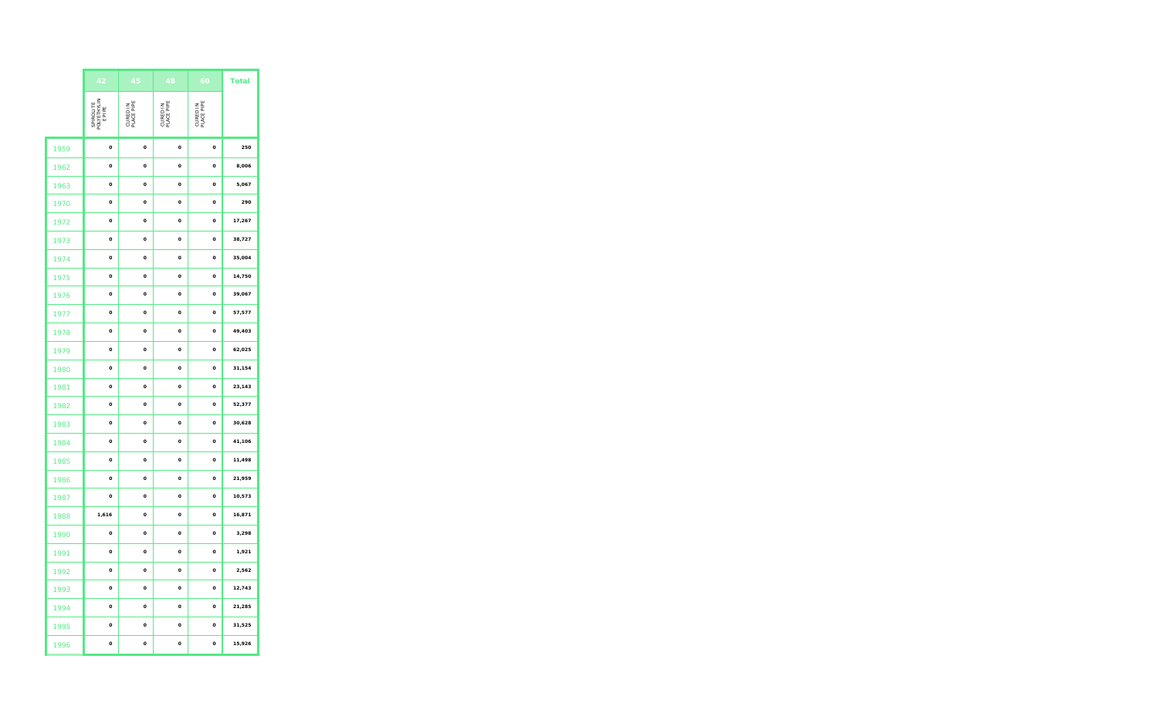|      | 42                                 | 45                     | 48                     | 60                     | <b>Total</b> |
|------|------------------------------------|------------------------|------------------------|------------------------|--------------|
|      | SPIROLITE<br>POLYETHYLIN<br>E PIPE | CURED IN<br>PLACE PIPE | CURED IN<br>PLACE PIPE | CURED IN<br>PLACE PIPE |              |
| 1959 | o                                  | o                      | o                      | o                      | 250          |
| 1962 | $\mathbf{o}$                       | $\mathbf{o}$           | $\mathbf{o}$           | $\mathbf{o}$           | 8,006        |
| 1963 | O                                  | o                      | o                      | o                      | 5,067        |
| 1970 | o                                  | o                      | o                      | o                      | 290          |
| 1972 | $\mathbf{o}$                       | $\mathbf{o}$           | $\mathbf{o}$           | $\mathbf{o}$           | 17,267       |
| 1973 | O                                  | o                      | o                      | o                      | 38,727       |
| 1974 | $\mathbf{o}$                       | o                      | o                      | o                      | 35,004       |
| 1975 | o                                  | o                      | o                      | o                      | 14,750       |
| 1976 | o                                  | o                      | o                      | o                      | 39,067       |
| 1977 | $\mathbf{o}$                       | o                      | o                      | o                      | 57,577       |
| 1978 | $\mathbf{o}$                       | o                      | o                      | o                      | 49,403       |
| 1979 | o                                  | o                      | o                      | o                      | 62,025       |
| 1980 | $\mathbf{o}$                       | $\mathbf{o}$           | $\mathbf{o}$           | $\mathbf{o}$           | 31,154       |
| 1981 | $\mathbf{o}$                       | $\mathbf{o}$           | o                      | o                      | 23,143       |
| 1982 | o                                  | o                      | o                      | o                      | 52,377       |
| 1983 | $\circ$                            | $\circ$                | $\mathbf{o}$           | $\mathbf{o}$           | 30,628       |
| 1984 | $\mathbf{o}$                       | $\mathbf{o}$           | $\mathbf{o}$           | $\mathbf{o}$           | 41,106       |
| 1985 | o                                  | o                      | o                      | o                      | 11,498       |
| 1986 | $\Omega$                           | $\Omega$               | $\Omega$               | $\Omega$               | 21,959       |
| 1987 | o                                  | o                      | o                      | o                      | 10,573       |
| 1988 | 1,616                              | o                      | o                      | o                      | 16,871       |
| 1990 | $\mathbf{o}$                       | $\mathbf{o}$           | $\mathbf{o}$           | $\mathbf{o}$           | 3,298        |
| 1991 | o                                  | o                      | o                      | o                      | 1,921        |
| 1992 | o                                  | o                      | o                      | o                      | 2,562        |
| 1993 | $\mathbf{o}$                       | $\mathbf{o}$           | $\mathbf{o}$           | $\mathbf{o}$           | 12,743       |
| 1994 | o                                  | o                      | o                      | o                      | 21,285       |
| 1995 | o                                  | o                      | o                      | o                      | 31,525       |
| 1996 | $\mathbf{o}$                       | o                      | o                      | o                      | 15,926       |
|      |                                    |                        |                        |                        |              |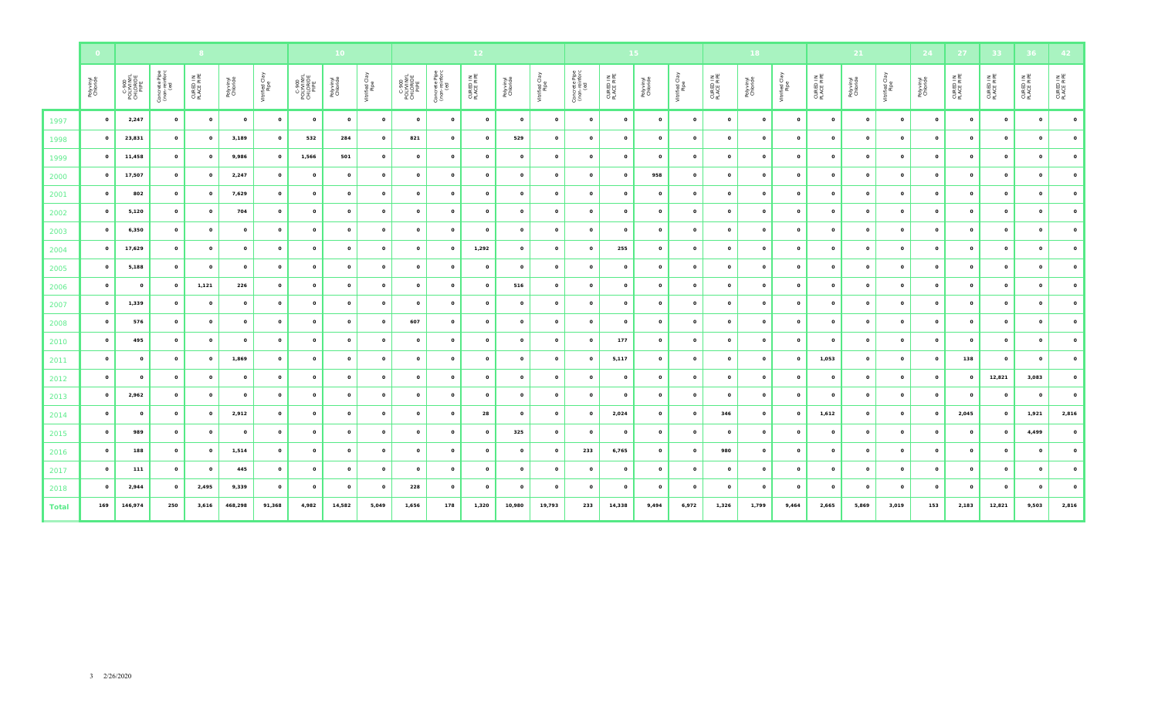|              | $\bullet$               |                                        |                                       |                        |                       |                        |                                                                                                    | 10 <sub>1</sub> |                        |                                        |                                       | 12 <sub>1</sub>        |                       |                        |                                       |                        | 15 <sub>1</sub>       |                       |                        | 18 <sub>1</sub>       |                        |                         | 21           |                        | 24           | $-27$                  | 33 <sub>1</sub>        | 36 <sub>1</sub>        |                        |
|--------------|-------------------------|----------------------------------------|---------------------------------------|------------------------|-----------------------|------------------------|----------------------------------------------------------------------------------------------------|-----------------|------------------------|----------------------------------------|---------------------------------------|------------------------|-----------------------|------------------------|---------------------------------------|------------------------|-----------------------|-----------------------|------------------------|-----------------------|------------------------|-------------------------|--------------|------------------------|--------------|------------------------|------------------------|------------------------|------------------------|
|              | Polyvinyl<br>Chloride   | C-900<br>POLYVINYL<br>CHLORIDE<br>PIPE | Concrete Pipe<br>(non-reinforc<br>(ed | CURED IN<br>PLACE PIPE | Polyvinyl<br>Chloride | Vitrified Clay<br>Pipe | $\begin{array}{c} \text{C-900} \\ \text{POLIVINIVL} \\ \text{CHLORIDE} \\ \text{PIRE} \end{array}$ | Polyvinyl       | Vitrified Clay<br>Pipe | C-900<br>POLYVINYL<br>CHLORIDE<br>PIPE | Concrete Pipe<br>(non-reinforc<br>(ed | CURED IN<br>PLACE PIPE | Polyvinyl<br>Chloride | Vitrified Clay<br>Pipe | Concrete Pipe<br>(non-reinforc<br>(ed | CURED IN<br>PLACE PIPE | Polyvinyl<br>Chloride | Vitrified Cia<br>Pipe | CURED IN<br>PLACE PIPE | Polyvinyl<br>Chloride | Vitrified Clay<br>Pipe | CURED IN<br>PLACE PIPE  | Polyvinyl    | Vitrified Clay<br>Pipe | Polyvinyl    | CURED IN<br>PLACE PIPE | CURED IN<br>PLACE PIPE | CURED IN<br>PLACE PIPE | CURED IN<br>PLACE PIPE |
| 1997         | $\mathbf{o}$            | 2,247                                  | $\circ$                               | $\mathbf{o}$           | $\circ$               | $\circ$                | $\mathbf{o}$                                                                                       | $\circ$         | $\mathbf{o}$           | $\circ$                                | $\mathbf{o}$                          | $\circ$                | $\circ$               | $\circ$                | $\circ$                               | $\circ$                | $\circ$               | $\circ$               | $\circ$                | $\circ$               | $\mathbf{o}$           | $\overline{\mathbf{0}}$ | $\mathbf{o}$ | $\circ$                | $\circ$      | $\circ$                | $\circ$                | $\mathbf{o}$           | $\circ$                |
| 1998         | $\mathbf{o}$            | 23,831                                 | $\circ$                               | $\circ$                | 3,189                 | $\circ$                | 532                                                                                                | 284             | $\circ$                | 821                                    | $\mathbf{o}$                          | $\circ$                | 529                   | $\circ$                | $\mathbf{o}$                          | $\circ$                | $\circ$               | $\circ$               | $\mathbf{o}$           | $\mathbf{o}$          | $\mathbf{o}$           | $\circ$                 | $\circ$      | $\circ$                | $\mathbf{o}$ | $\mathbf{o}$           | $\circ$                | $\circ$                | $\Omega$               |
| 1999         | $\mathbf{o}$            | 11,458                                 | $\mathbf{o}$                          | $\mathbf{o}$           | 9,986                 | $\circ$                | 1,566                                                                                              | 501             | $\circ$                | $\circ$                                | $\mathbf{o}$                          | $\circ$                | $\circ$               | $\circ$                | $\mathbf{o}$                          | $\circ$                | $\mathbf{o}$          | $\circ$               | $\circ$                | $\mathbf{o}$          | $\mathbf{o}$           | $\circ$                 | $\mathbf{o}$ | $\circ$                | $\mathbf{o}$ | $\mathbf{o}$           | $\circ$                | $\circ$                | $\circ$                |
| 2000         | $\mathbf{o}$            | 17,507                                 | $\circ$                               | $\circ$                | 2,247                 | $\circ$                | $\circ$                                                                                            | $\circ$         | $\mathbf{o}$           | $\circ$                                | $\circ$                               | $\circ$                | $\mathbf{o}$          | $\circ$                | $\mathbf{o}$                          | $\mathbf{o}$           | 958                   | $\circ$               | $\mathbf{o}$           | $\mathbf{o}$          | $\mathbf{o}$           | $\overline{\mathbf{o}}$ | $\circ$      | $\mathbf{o}$           | $\circ$      | $\mathbf{o}$           | $\circ$                | $\circ$                | $\circ$                |
| 2001         | $\mathbf{o}$            | 802                                    | $\circ$                               | $\mathbf{o}$           | 7,629                 | $\circ$                | $\mathbf{o}$                                                                                       | $\mathbf{o}$    | $\mathbf 0$            | $\mathbf{o}$                           | o                                     | $\mathbf 0$            | $\circ$               | $\circ$                | $\circ$                               | $\mathbf{o}$           | $\circ$               | $\circ$               | $\mathbf{o}$           | $\mathbf{o}$          | $\circ$                | $\circ$                 | $\mathbf{o}$ | $\mathbf{o}$           | $\mathbf{o}$ | $\circ$                | $\circ$                | $\mathbf{o}$           | $\circ$                |
| 2002         | $\circ$                 | 5,120                                  | $\mathbf{o}$                          | $\mathbf{o}$           | 704                   | $\circ$                | $\mathbf{o}$                                                                                       | $\circ$         | $\circ$                | $\circ$                                | $\circ$                               | $\mathbf{o}$           | $\circ$               | $\mathbf{o}$           | $\mathbf{o}$                          | $\circ$                | $\circ$               | $^{\circ}$            | $\mathbf{o}$           | $\circ$               | $\circ$                | $\mathbf{o}$            | $\circ$      | $\circ$                | $\mathbf{o}$ | $\circ$                | $\circ$                | $\mathbf{o}$           | $\circ$                |
| 2003         | $\mathbf{o}$            | 6,350                                  | $\circ$                               | $\mathbf{o}$           | $\circ$               | $\circ$                | $\circ$                                                                                            | $\circ$         | $\mathbf{o}$           | $\circ$                                | $\circ$                               | $\mathbf{o}$           | $\circ$               | $\circ$                | $\circ$                               | $\mathbf{o}$           | $\mathbf{o}$          | $\mathbf{o}$          | $\mathbf{o}$           | $\circ$               | $\circ$                | $\mathbf{o}$            | $\circ$      | $\circ$                | $\circ$      | $\mathbf{o}$           | $\circ$                | $\circ$                | $\circ$                |
| 2004         | $\circ$                 | 17,629                                 | $\circ$                               | $\circ$                | $\circ$               | $\circ$                | $\circ$                                                                                            | $\circ$         | $\circ$                | $\mathbf{o}$                           | $\circ$                               | 1,292                  | $\circ$               | $\circ$                | $\circ$                               | 255                    | $\circ$               | $\circ$               | $\circ$                | $\circ$               | $\mathbf{o}$           | $\mathbf{o}$            | $\mathbf{o}$ | $\mathbf{o}$           | $\circ$      | $\mathbf{o}$           | $\circ$                | $\circ$                | $\circ$                |
| 2005         | $\mathbf{o}$            | 5,188                                  | $\mathbf{o}$                          | $\circ$                | $\circ$               | $\circ$                | $\mathbf{o}$                                                                                       | $\circ$         | $\mathbf{o}$           | $\mathbf{o}$                           | $\mathbf{o}$                          | $\mathbf{o}$           | $\mathbf{o}$          | $\mathbf{o}$           | $\circ$                               | $\mathbf{o}$           | $\circ$               | $\mathbf{o}$          | $\circ$                | $\mathbf{o}$          | $\mathbf{o}$           | $\mathbf{o}$            | $\mathbf{o}$ | $\mathbf{o}$           | $\mathbf{o}$ | $\mathbf{o}$           | $\mathbf{o}$           | $\mathbf{o}$           | $\circ$                |
| 2006         | $\mathbf{o}$            | $\mathbf{o}$                           | $\circ$                               | 1,121                  | 226                   | $\circ$                | $\mathbf{o}$                                                                                       | $\mathbf{o}$    | $\mathbf{o}$           | $\circ$                                | $\circ$                               | $\mathbf{o}$           | 516                   | $\circ$                | $\circ$                               | $\mathbf{o}$           | $\mathbf{o}$          | $\circ$               | $\circ$                | $\circ$               | $\circ$                | $\mathbf{o}$            | $\circ$      | $\circ$                | $\circ$      | $\mathbf{o}$           | $\circ$                | $\circ$                | $\circ$                |
| 2007         | $\mathbf{o}$            | 1,339                                  | $\circ$                               | $\circ$                | $\circ$               | $\circ$                | $\mathbf{o}$                                                                                       | $\mathbf{o}$    | $\mathbf{o}$           | $\circ$                                | $\mathbf{o}$                          | $\circ$                | $\circ$               | $\circ$                | $\circ$                               | $\mathbf{o}$           | $\mathbf{o}$          | $\circ$               | $\circ$                | $\circ$               | $\mathbf{o}$           | $\mathbf{o}$            | $\circ$      | $\mathbf{o}$           | $\mathbf{o}$ | $\mathbf{o}$           | $\circ$                | $\circ$                | $\Omega$               |
| 2008         | $\mathbf{o}$            | 576                                    | $\circ$                               | $\mathbf{o}$           | $\circ$               | $\circ$                | $\mathbf{o}$                                                                                       | $\mathbf{o}$    | $\circ$                | 607                                    | $\circ$                               | $\circ$                | $\circ$               | $\circ$                | $\mathbf{o}$                          | $\mathbf{o}$           | $\circ$               | $\mathbf{o}$          | $\mathbf{o}$           | $\circ$               | $\circ$                | $\overline{\mathbf{o}}$ | $\circ$      | $\mathbf{o}$           | $\mathbf{o}$ | $\mathbf{o}$           | $\circ$                | $\mathbf{o}$           | $\mathbf{o}$           |
| 2010         | $\overline{\mathbf{O}}$ | 495                                    | $\circ$                               | $\mathbf{o}$           | $\circ$               | $\circ$                | $\circ$                                                                                            | $\mathbf{o}$    | $\mathbf{o}$           | $\mathbf{o}$                           | o                                     | $\mathbf{o}$           | $\mathbf{o}$          | $\mathbf{o}$           | $\mathbf{o}$                          | 177                    | $\mathbf{o}$          | $\circ$               | $\mathbf{o}$           | $\circ$               | $\circ$                | $\mathbf{o}$            | $\mathbf{o}$ | $\mathbf{o}$           | $\circ$      | $\circ$                | $\circ$                | $\mathbf{o}$           | $\mathbf{o}$           |
| 2011         | $\mathbf{o}$            | $\circ$                                | $\circ$                               | $\mathbf{o}$           | 1,869                 | $\circ$                | $\mathbf{o}$                                                                                       | $\circ$         | $\mathbf{o}$           | $\mathbf 0$                            | $\circ$                               | $\circ$                | $\mathbf{o}$          | $\mathbf{o}$           | $\circ$                               | 5,117                  | $\circ$               | $\circ$               | $\circ$                | $\circ$               | $\mathbf{o}$           | 1,053                   | $\mathbf{o}$ | $\mathbf{o}$           | $\circ$      | 138                    | $\circ$                | $\circ$                | $\mathbf{o}$           |
| 2012         | $\mathbf{o}$            | $\mathbf{o}$                           | $\circ$                               | $\mathbf{o}$           | $\circ$               | $\circ$                | $\circ$                                                                                            | $\circ$         | $\circ$                | $\circ$                                | $\circ$                               | $\circ$                | $\circ$               | $\circ$                | $\circ$                               | $\mathbf{o}$           | $\circ$               | $\mathbf{o}$          | $\mathbf{o}$           | $\circ$               | $\circ$                | $\mathbf{o}$            | $\circ$      | $\mathbf{o}$           | $\mathbf{o}$ | $\mathbf{o}$           | 12,821                 | 3,083                  | $\circ$                |
| 2013         | $\mathbf{o}$            | 2,962                                  | $\circ$                               | $\circ$                | $\circ$               | $\circ$                | $\circ$                                                                                            | $\circ$         | $\circ$                | $\circ$                                | $\circ$                               | $\circ$                | $\mathbf{o}$          | $\circ$                | $\circ$                               | $\circ$                | $\circ$               | $\mathbf{o}$          | $\circ$                | $\circ$               | $\mathbf{o}$           | $\overline{\mathbf{0}}$ | $\circ$      | $\mathbf{o}$           | $\circ$      | $\mathbf{o}$           | $\circ$                | $\circ$                | $\circ$                |
| 2014         | $\overline{\mathbf{O}}$ | $\circ$                                | $\circ$                               | $\mathbf{o}$           | 2,912                 | $\circ$                | $\circ$                                                                                            | $\mathbf{o}$    | $\circ$                | $\mathbf{o}$                           | $\mathbf{o}$                          | 28                     | $\circ$               | $\circ$                | $\circ$                               | 2,024                  | $\circ$               | $\circ$               | 346                    | $\mathbf{o}$          | $\circ$                | 1,612                   | $\mathbf{o}$ | $\mathbf{o}$           | $\mathbf{o}$ | 2,045                  | $\circ$                | 1,921                  | 2,816                  |
| 2015         | $\mathbf{o}$            | 989                                    | $\mathbf{o}$                          | $\mathbf{o}$           | $\circ$               | $\circ$                | $\circ$                                                                                            | $\circ$         | $\circ$                | $\circ$                                | $\mathbf{o}$                          | $\circ$                | 325                   | $\circ$                | $\mathbf{o}$                          | $\circ$                | $\mathbf{o}$          | $\circ$               | $\mathbf{o}$           | $\mathbf{o}$          | $\mathbf{o}$           | $\overline{\mathbf{O}}$ | $\circ$      | $\mathbf{o}$           | $\circ$      | $\mathbf{o}$           | $\circ$                | 4,499                  | $\circ$                |
| 2016         | $\mathbf{o}$            | 188                                    | $\circ$                               | $\mathbf{o}$           | 1,514                 | $\mathbf{o}$           | $\circ$                                                                                            | $\mathbf{o}$    | $\mathbf 0$            | $\mathbf{o}$                           | $\mathbf{o}$                          | $\circ$                | $\circ$               | $\mathbf{o}$           | 233                                   | 6,765                  | $\circ$               | $\circ$               | 980                    | $\mathbf{o}$          | $\mathbf{o}$           | $\mathbf{o}$            | $\mathbf{o}$ | $\mathbf{o}$           | $\mathbf{o}$ | $\mathbf{o}$           | $\circ$                | $\mathbf{o}$           |                        |
| 2017         | $\mathbf{o}$            | 111                                    | $\circ$                               | $\circ$                | 445                   | $\mathbf{o}$           | $\circ$                                                                                            | $\circ$         | $\circ$                | $\circ$                                | $\circ$                               | $\circ$                | $\circ$               | $\circ$                | $\circ$                               | $\mathbf{o}$           | $\circ$               | $\mathbf{o}$          | $\circ$                | $\circ$               | $\circ$                | $\mathbf{o}$            | $\circ$      | $\circ$                | $\circ$      | $\circ$                | $\circ$                | $\circ$                |                        |
| 2018         | $\mathbf{o}$            | 2,944                                  | $\mathbf{o}$                          | 2,495                  | 9,339                 | $\circ$                | $\mathbf{o}$                                                                                       | $\circ$         | $\circ$                | 228                                    | $\mathbf{o}$                          | $\circ$                | $\mathbf{o}$          | $\circ$                | $\mathbf{o}$                          | $\circ$                | $\circ$               | $\circ$               | $\mathbf{o}$           | $\mathbf{o}$          | $\mathbf{o}$           | $\mathbf{o}$            | $\mathbf{o}$ | $\mathbf{o}$           | $\mathbf{o}$ | $\circ$                | $\mathbf{o}$           | $\circ$                | $\circ$                |
| <b>Total</b> | 169                     | 146,974                                | 250                                   | 3,616                  | 468,298               | 91,368                 | 4,982                                                                                              | 14,582          | 5,049                  | 1,656                                  | 178                                   | 1,320                  | 10,980                | 19,793                 | 233                                   | 14,338                 | 9,494                 | 6,972                 | 1,326                  | 1,799                 | 9,464                  | 2,665                   | 5,869        | 3,019                  | 153          | 2,183                  | 12,821                 | 9,503                  | 2,816                  |